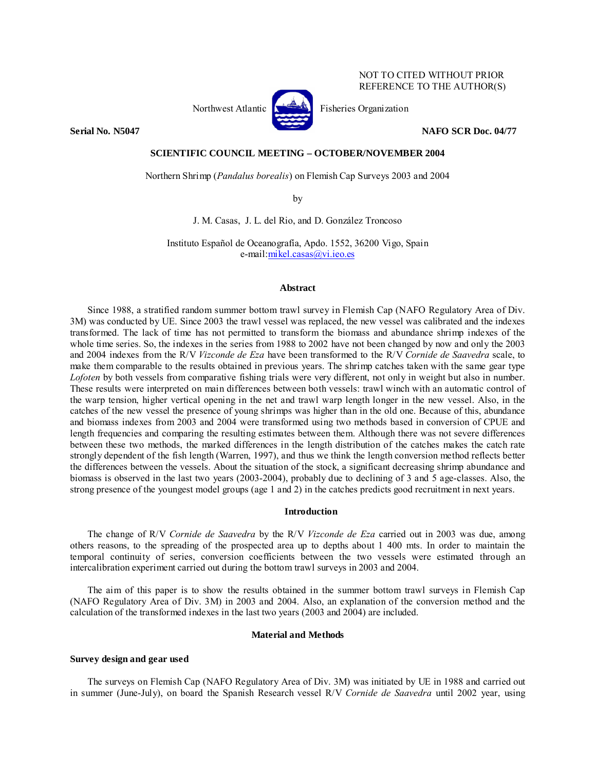## NOT TO CITED WITHOUT PRIOR REFERENCE TO THE AUTHOR(S)



Northwest Atlantic  $\left[\begin{matrix} 1 & 1 \\ 1 & 1 \end{matrix}\right]$  Fisheries Organization

**Serial No. N5047 NAFO SCR Doc. 04/77** 

### **SCIENTIFIC COUNCIL MEETING – OCTOBER/NOVEMBER 2004**

Northern Shrimp (*Pandalus borealis*) on Flemish Cap Surveys 2003 and 2004

by

J. M. Casas, J. L. del Rio, and D. González Troncoso

Instituto Español de Oceanografía, Apdo. 1552, 36200 Vigo, Spain e-mail:mikel.casas@vi.ieo.es

## **Abstract**

Since 1988, a stratified random summer bottom trawl survey in Flemish Cap (NAFO Regulatory Area of Div. 3M) was conducted by UE. Since 2003 the trawl vessel was replaced, the new vessel was calibrated and the indexes transformed. The lack of time has not permitted to transform the biomass and abundance shrimp indexes of the whole time series. So, the indexes in the series from 1988 to 2002 have not been changed by now and only the 2003 and 2004 indexes from the R/V *Vizconde de Eza* have been transformed to the R/V *Cornide de Saavedra* scale, to make them comparable to the results obtained in previous years. The shrimp catches taken with the same gear type *Lofoten* by both vessels from comparative fishing trials were very different, not only in weight but also in number. These results were interpreted on main differences between both vessels: trawl winch with an automatic control of the warp tension, higher vertical opening in the net and trawl warp length longer in the new vessel. Also, in the catches of the new vessel the presence of young shrimps was higher than in the old one. Because of this, abundance and biomass indexes from 2003 and 2004 were transformed using two methods based in conversion of CPUE and length frequencies and comparing the resulting estimates between them. Although there was not severe differences between these two methods, the marked differences in the length distribution of the catches makes the catch rate strongly dependent of the fish length (Warren, 1997), and thus we think the length conversion method reflects better the differences between the vessels. About the situation of the stock, a significant decreasing shrimp abundance and biomass is observed in the last two years (2003-2004), probably due to declining of 3 and 5 age-classes. Also, the strong presence of the youngest model groups (age 1 and 2) in the catches predicts good recruitment in next years.

## **Introduction**

The change of R/V *Cornide de Saavedra* by the R/V *Vizconde de Eza* carried out in 2003 was due, among others reasons, to the spreading of the prospected area up to depths about 1 400 mts. In order to maintain the temporal continuity of series, conversion coefficients between the two vessels were estimated through an intercalibration experiment carried out during the bottom trawl surveys in 2003 and 2004.

The aim of this paper is to show the results obtained in the summer bottom trawl surveys in Flemish Cap (NAFO Regulatory Area of Div. 3M) in 2003 and 2004. Also, an explanation of the conversion method and the calculation of the transformed indexes in the last two years (2003 and 2004) are included.

## **Material and Methods**

# **Survey design and gear used**

The surveys on Flemish Cap (NAFO Regulatory Area of Div. 3M) was initiated by UE in 1988 and carried out in summer (June-July), on board the Spanish Research vessel R/V *Cornide de Saavedra* until 2002 year, using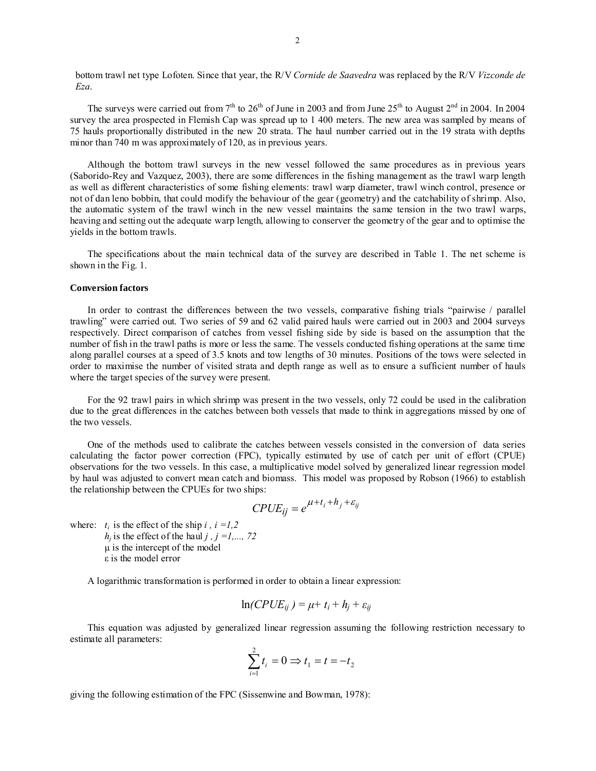bottom trawl net type Lofoten. Since that year, the R/V *Cornide de Saavedra* was replaced by the R/V *Vizconde de Eza*.

The surveys were carried out from  $7<sup>th</sup>$  to  $26<sup>th</sup>$  of June in 2003 and from June  $25<sup>th</sup>$  to August  $2<sup>nd</sup>$  in 2004. In 2004 survey the area prospected in Flemish Cap was spread up to 1 400 meters. The new area was sampled by means of 75 hauls proportionally distributed in the new 20 strata. The haul number carried out in the 19 strata with depths minor than 740 m was approximately of 120, as in previous years.

Although the bottom trawl surveys in the new vessel followed the same procedures as in previous years (Saborido-Rey and Vazquez, 2003), there are some differences in the fishing management as the trawl warp length as well as different characteristics of some fishing elements: trawl warp diameter, trawl winch control, presence or not of dan leno bobbin, that could modify the behaviour of the gear (geometry) and the catchability of shrimp. Also, the automatic system of the trawl winch in the new vessel maintains the same tension in the two trawl warps, heaving and setting out the adequate warp length, allowing to conserver the geometry of the gear and to optimise the yields in the bottom trawls.

The specifications about the main technical data of the survey are described in Table 1. The net scheme is shown in the Fig. 1.

## **Conversion factors**

In order to contrast the differences between the two vessels, comparative fishing trials "pairwise / parallel trawling" were carried out. Two series of 59 and 62 valid paired hauls were carried out in 2003 and 2004 surveys respectively. Direct comparison of catches from vessel fishing side by side is based on the assumption that the number of fish in the trawl paths is more or less the same. The vessels conducted fishing operations at the same time along parallel courses at a speed of 3.5 knots and tow lengths of 30 minutes. Positions of the tows were selected in order to maximise the number of visited strata and depth range as well as to ensure a sufficient number of hauls where the target species of the survey were present.

For the 92 trawl pairs in which shrimp was present in the two vessels, only 72 could be used in the calibration due to the great differences in the catches between both vessels that made to think in aggregations missed by one of the two vessels.

One of the methods used to calibrate the catches between vessels consisted in the conversion of data series calculating the factor power correction (FPC), typically estimated by use of catch per unit of effort (CPUE) observations for the two vessels. In this case, a multiplicative model solved by generalized linear regression model by haul was adjusted to convert mean catch and biomass. This model was proposed by Robson (1966) to establish the relationship between the CPUEs for two ships:

$$
CPUE_{ij} = e^{\mu + t_i + h_j + \varepsilon_{ij}}
$$

where:  $t_i$  is the effect of the ship *i*,  $i = 1,2$  $h_i$  is the effect of the haul *j*, *j* = *l*,..., 72

µ is the intercept of the model ε is the model error

A logarithmic transformation is performed in order to obtain a linear expression:

$$
\ln(CPUE_{ij}) = \mu + t_i + h_j + \varepsilon_{ij}
$$

This equation was adjusted by generalized linear regression assuming the following restriction necessary to estimate all parameters:

$$
\sum_{i=1}^2 t_i = 0 \Rightarrow t_1 = t = -t_2
$$

giving the following estimation of the FPC (Sissenwine and Bowman, 1978):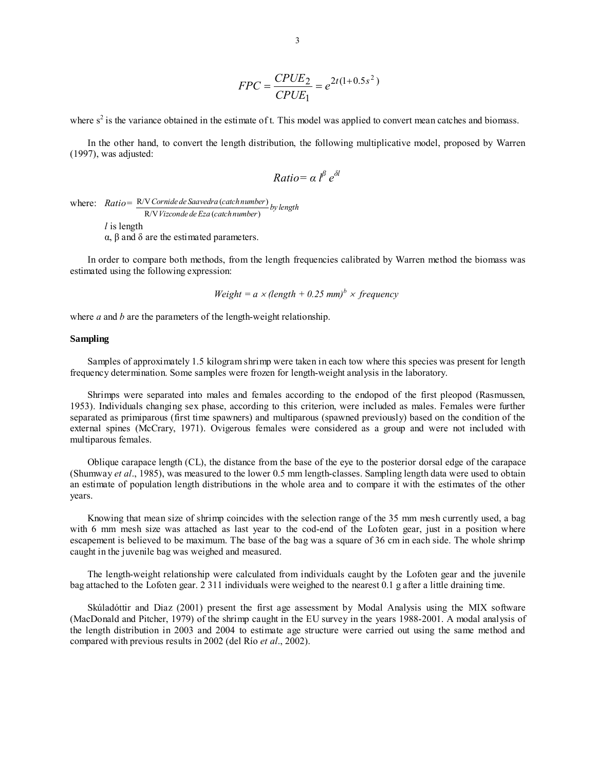$$
FPC = \frac{CPUE_2}{CPUE_1} = e^{2t(1+0.5s^2)}
$$

where  $s^2$  is the variance obtained in the estimate of t. This model was applied to convert mean catches and biomass.

In the other hand, to convert the length distribution, the following multiplicative model, proposed by Warren (1997), was adjusted:

$$
Ratio = \alpha l^{\beta} e^{\delta l}
$$

where: *Ratio* =  $\frac{R/V}{C}$  *Ornide de Saavedra* (*catch number*) R/V ( ) *Cornide de Saavedra catchnumber by length Vizconde de Eza catchnumber l* is length

α, β and δ are the estimated parameters.

In order to compare both methods, from the length frequencies calibrated by Warren method the biomass was estimated using the following expression:

$$
Weight = a \times (length + 0.25 \text{ mm})^b \times frequency
$$

where *a* and *b* are the parameters of the length-weight relationship.

### **Sampling**

Samples of approximately 1.5 kilogram shrimp were taken in each tow where this species was present for length frequency determination. Some samples were frozen for length-weight analysis in the laboratory.

Shrimps were separated into males and females according to the endopod of the first pleopod (Rasmussen, 1953). Individuals changing sex phase, according to this criterion, were included as males. Females were further separated as primiparous (first time spawners) and multiparous (spawned previously) based on the condition of the external spines (McCrary, 1971). Ovigerous females were considered as a group and were not included with multiparous females.

Oblique carapace length (CL), the distance from the base of the eye to the posterior dorsal edge of the carapace (Shumway *et al*., 1985), was measured to the lower 0.5 mm length-classes. Sampling length data were used to obtain an estimate of population length distributions in the whole area and to compare it with the estimates of the other years.

Knowing that mean size of shrimp coincides with the selection range of the 35 mm mesh currently used, a bag with 6 mm mesh size was attached as last year to the cod-end of the Lofoten gear, just in a position where escapement is believed to be maximum. The base of the bag was a square of 36 cm in each side. The whole shrimp caught in the juvenile bag was weighed and measured.

The length-weight relationship were calculated from individuals caught by the Lofoten gear and the juvenile bag attached to the Lofoten gear. 2 311 individuals were weighed to the nearest 0.1 g after a little draining time.

Skúladóttir and Diaz (2001) present the first age assessment by Modal Analysis using the MIX software (MacDonald and Pitcher, 1979) of the shrimp caught in the EU survey in the years 1988-2001. A modal analysis of the length distribution in 2003 and 2004 to estimate age structure were carried out using the same method and compared with previous results in 2002 (del Río *et al*., 2002).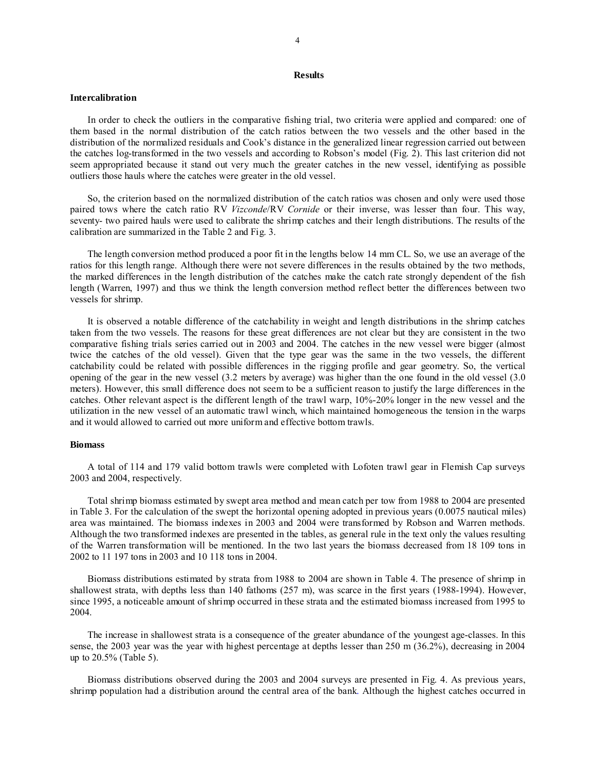## **Results**

#### **Intercalibration**

In order to check the outliers in the comparative fishing trial, two criteria were applied and compared: one of them based in the normal distribution of the catch ratios between the two vessels and the other based in the distribution of the normalized residuals and Cook's distance in the generalized linear regression carried out between the catches log-transformed in the two vessels and according to Robson's model (Fig. 2). This last criterion did not seem appropriated because it stand out very much the greater catches in the new vessel, identifying as possible outliers those hauls where the catches were greater in the old vessel.

So, the criterion based on the normalized distribution of the catch ratios was chosen and only were used those paired tows where the catch ratio RV *Vizconde*/RV *Cornide* or their inverse, was lesser than four. This way, seventy- two paired hauls were used to calibrate the shrimp catches and their length distributions. The results of the calibration are summarized in the Table 2 and Fig. 3.

The length conversion method produced a poor fit in the lengths below 14 mm CL. So, we use an average of the ratios for this length range. Although there were not severe differences in the results obtained by the two methods, the marked differences in the length distribution of the catches make the catch rate strongly dependent of the fish length (Warren, 1997) and thus we think the length conversion method reflect better the differences between two vessels for shrimp.

It is observed a notable difference of the catchability in weight and length distributions in the shrimp catches taken from the two vessels. The reasons for these great differences are not clear but they are consistent in the two comparative fishing trials series carried out in 2003 and 2004. The catches in the new vessel were bigger (almost twice the catches of the old vessel). Given that the type gear was the same in the two vessels, the different catchability could be related with possible differences in the rigging profile and gear geometry. So, the vertical opening of the gear in the new vessel (3.2 meters by average) was higher than the one found in the old vessel (3.0 meters). However, this small difference does not seem to be a sufficient reason to justify the large differences in the catches. Other relevant aspect is the different length of the trawl warp, 10%-20% longer in the new vessel and the utilization in the new vessel of an automatic trawl winch, which maintained homogeneous the tension in the warps and it would allowed to carried out more uniform and effective bottom trawls.

#### **Biomass**

A total of 114 and 179 valid bottom trawls were completed with Lofoten trawl gear in Flemish Cap surveys 2003 and 2004, respectively.

Total shrimp biomass estimated by swept area method and mean catch per tow from 1988 to 2004 are presented in Table 3. For the calculation of the swept the horizontal opening adopted in previous years (0.0075 nautical miles) area was maintained. The biomass indexes in 2003 and 2004 were transformed by Robson and Warren methods. Although the two transformed indexes are presented in the tables, as general rule in the text only the values resulting of the Warren transformation will be mentioned. In the two last years the biomass decreased from 18 109 tons in 2002 to 11 197 tons in 2003 and 10 118 tons in 2004.

Biomass distributions estimated by strata from 1988 to 2004 are shown in Table 4. The presence of shrimp in shallowest strata, with depths less than 140 fathoms (257 m), was scarce in the first years (1988-1994). However, since 1995, a noticeable amount of shrimp occurred in these strata and the estimated biomass increased from 1995 to 2004.

The increase in shallowest strata is a consequence of the greater abundance of the youngest age-classes. In this sense, the 2003 year was the year with highest percentage at depths lesser than 250 m (36.2%), decreasing in 2004 up to 20.5% (Table 5).

Biomass distributions observed during the 2003 and 2004 surveys are presented in Fig. 4. As previous years, shrimp population had a distribution around the central area of the bank. Although the highest catches occurred in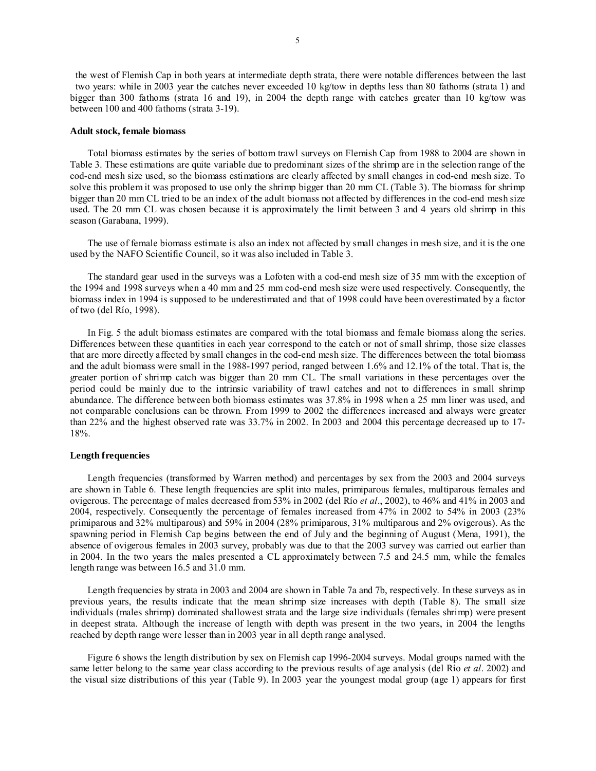the west of Flemish Cap in both years at intermediate depth strata, there were notable differences between the last two years: while in 2003 year the catches never exceeded 10 kg/tow in depths less than 80 fathoms (strata 1) and bigger than 300 fathoms (strata 16 and 19), in 2004 the depth range with catches greater than 10 kg/tow was between 100 and 400 fathoms (strata 3-19).

#### **Adult stock, female biomass**

Total biomass estimates by the series of bottom trawl surveys on Flemish Cap from 1988 to 2004 are shown in Table 3. These estimations are quite variable due to predominant sizes of the shrimp are in the selection range of the cod-end mesh size used, so the biomass estimations are clearly affected by small changes in cod-end mesh size. To solve this problem it was proposed to use only the shrimp bigger than 20 mm CL (Table 3). The biomass for shrimp bigger than 20 mm CL tried to be an index of the adult biomass not affected by differences in the cod-end mesh size used. The 20 mm CL was chosen because it is approximately the limit between 3 and 4 years old shrimp in this season (Garabana, 1999).

The use of female biomass estimate is also an index not affected by small changes in mesh size, and it is the one used by the NAFO Scientific Council, so it was also included in Table 3.

The standard gear used in the surveys was a Lofoten with a cod-end mesh size of 35 mm with the exception of the 1994 and 1998 surveys when a 40 mm and 25 mm cod-end mesh size were used respectively. Consequently, the biomass index in 1994 is supposed to be underestimated and that of 1998 could have been overestimated by a factor of two (del Río, 1998).

In Fig. 5 the adult biomass estimates are compared with the total biomass and female biomass along the series. Differences between these quantities in each year correspond to the catch or not of small shrimp, those size classes that are more directly affected by small changes in the cod-end mesh size. The differences between the total biomass and the adult biomass were small in the 1988-1997 period, ranged between 1.6% and 12.1% of the total. That is, the greater portion of shrimp catch was bigger than 20 mm CL. The small variations in these percentages over the period could be mainly due to the intrinsic variability of trawl catches and not to differences in small shrimp abundance. The difference between both biomass estimates was 37.8% in 1998 when a 25 mm liner was used, and not comparable conclusions can be thrown. From 1999 to 2002 the differences increased and always were greater than 22% and the highest observed rate was 33.7% in 2002. In 2003 and 2004 this percentage decreased up to 17- 18%.

### **Length frequencies**

Length frequencies (transformed by Warren method) and percentages by sex from the 2003 and 2004 surveys are shown in Table 6. These length frequencies are split into males, primiparous females, multiparous females and ovigerous. The percentage of males decreased from 53% in 2002 (del Río *et al*., 2002), to 46% and 41% in 2003 and 2004, respectively. Consequently the percentage of females increased from 47% in 2002 to 54% in 2003 (23% primiparous and 32% multiparous) and 59% in 2004 (28% primiparous, 31% multiparous and 2% ovigerous). As the spawning period in Flemish Cap begins between the end of July and the beginning of August (Mena, 1991), the absence of ovigerous females in 2003 survey, probably was due to that the 2003 survey was carried out earlier than in 2004. In the two years the males presented a CL approximately between 7.5 and 24.5 mm, while the females length range was between 16.5 and 31.0 mm.

Length frequencies by strata in 2003 and 2004 are shown in Table 7a and 7b, respectively. In these surveys as in previous years, the results indicate that the mean shrimp size increases with depth (Table 8). The small size individuals (males shrimp) dominated shallowest strata and the large size individuals (females shrimp) were present in deepest strata. Although the increase of length with depth was present in the two years, in 2004 the lengths reached by depth range were lesser than in 2003 year in all depth range analysed.

Figure 6 shows the length distribution by sex on Flemish cap 1996-2004 surveys. Modal groups named with the same letter belong to the same year class according to the previous results of age analysis (del Río *et al*. 2002) and the visual size distributions of this year (Table 9). In 2003 year the youngest modal group (age 1) appears for first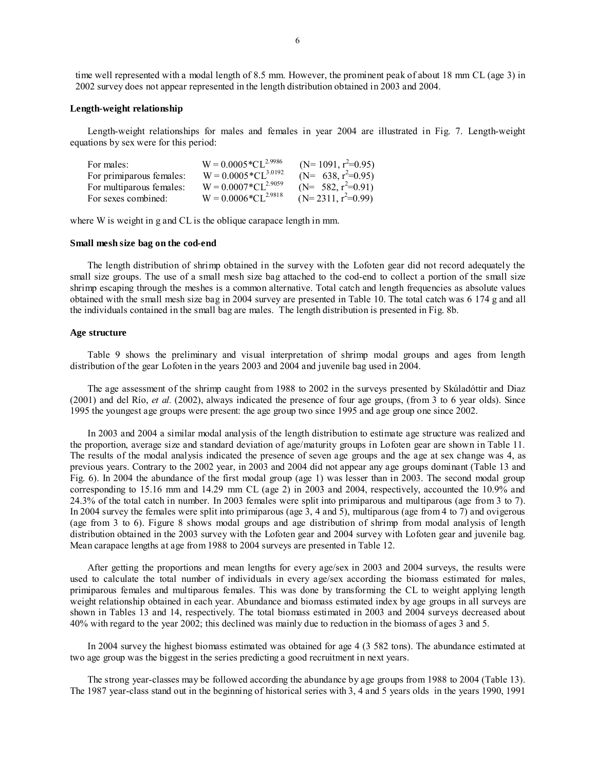time well represented with a modal length of 8.5 mm. However, the prominent peak of about 18 mm CL (age 3) in 2002 survey does not appear represented in the length distribution obtained in 2003 and 2004.

## **Length-weight relationship**

Length-weight relationships for males and females in year 2004 are illustrated in Fig. 7. Length-weight equations by sex were for this period:

| For males:               | $W = 0.0005 * CL^{2.9986}$ | $(N=1091, r^2=0.95)$ |
|--------------------------|----------------------------|----------------------|
| For primiparous females: | $W = 0.0005 * CL^{3.0192}$ | $(N= 638, r^2=0.95)$ |
| For multiparous females: | $W = 0.0007 * CL^{2.9059}$ | $(N= 582, r^2=0.91)$ |
| For sexes combined:      | $W = 0.0006 * CL^{2.9818}$ | $(N=2311, r^2=0.99)$ |

where W is weight in g and CL is the oblique carapace length in mm.

#### **Small mesh size bag on the cod-end**

The length distribution of shrimp obtained in the survey with the Lofoten gear did not record adequately the small size groups. The use of a small mesh size bag attached to the cod-end to collect a portion of the small size shrimp escaping through the meshes is a common alternative. Total catch and length frequencies as absolute values obtained with the small mesh size bag in 2004 survey are presented in Table 10. The total catch was 6 174 g and all the individuals contained in the small bag are males. The length distribution is presented in Fig. 8b.

#### **Age structure**

Table 9 shows the preliminary and visual interpretation of shrimp modal groups and ages from length distribution of the gear Lofoten in the years 2003 and 2004 and juvenile bag used in 2004.

The age assessment of the shrimp caught from 1988 to 2002 in the surveys presented by Skúladóttir and Diaz (2001) and del Río, *et al.* (2002), always indicated the presence of four age groups, (from 3 to 6 year olds). Since 1995 the youngest age groups were present: the age group two since 1995 and age group one since 2002.

In 2003 and 2004 a similar modal analysis of the length distribution to estimate age structure was realized and the proportion, average size and standard deviation of age/maturity groups in Lofoten gear are shown in Table 11. The results of the modal analysis indicated the presence of seven age groups and the age at sex change was 4, as previous years. Contrary to the 2002 year, in 2003 and 2004 did not appear any age groups dominant (Table 13 and Fig. 6). In 2004 the abundance of the first modal group (age 1) was lesser than in 2003. The second modal group corresponding to 15.16 mm and 14.29 mm CL (age 2) in 2003 and 2004, respectively, accounted the 10.9% and 24.3% of the total catch in number. In 2003 females were split into primiparous and multiparous (age from 3 to 7). In 2004 survey the females were split into primiparous (age 3, 4 and 5), multiparous (age from 4 to 7) and ovigerous (age from 3 to 6). Figure 8 shows modal groups and age distribution of shrimp from modal analysis of length distribution obtained in the 2003 survey with the Lofoten gear and 2004 survey with Lofoten gear and juvenile bag. Mean carapace lengths at age from 1988 to 2004 surveys are presented in Table 12.

After getting the proportions and mean lengths for every age/sex in 2003 and 2004 surveys, the results were used to calculate the total number of individuals in every age/sex according the biomass estimated for males, primiparous females and multiparous females. This was done by transforming the CL to weight applying length weight relationship obtained in each year. Abundance and biomass estimated index by age groups in all surveys are shown in Tables 13 and 14, respectively. The total biomass estimated in 2003 and 2004 surveys decreased about 40% with regard to the year 2002; this declined was mainly due to reduction in the biomass of ages 3 and 5.

In 2004 survey the highest biomass estimated was obtained for age 4 (3 582 tons). The abundance estimated at two age group was the biggest in the series predicting a good recruitment in next years.

The strong year-classes may be followed according the abundance by age groups from 1988 to 2004 (Table 13). The 1987 year-class stand out in the beginning of historical series with 3, 4 and 5 years olds in the years 1990, 1991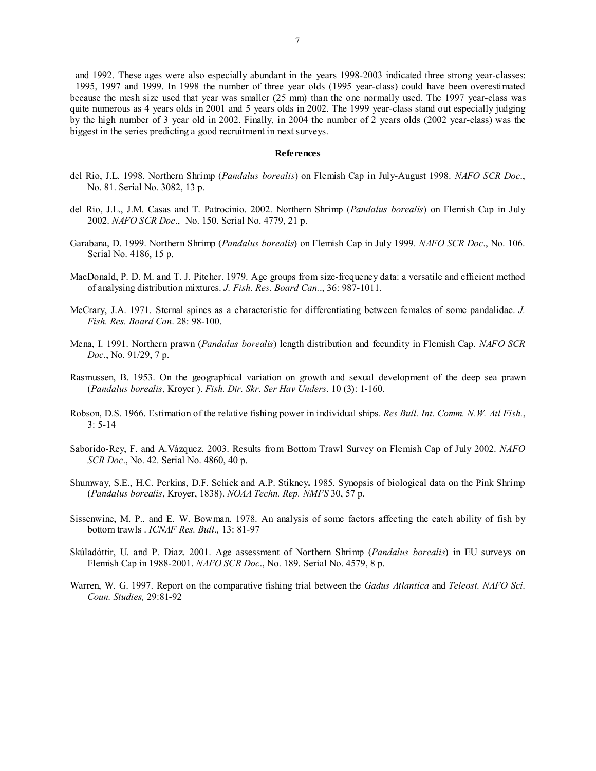and 1992. These ages were also especially abundant in the years 1998-2003 indicated three strong year-classes: 1995, 1997 and 1999. In 1998 the number of three year olds (1995 year-class) could have been overestimated because the mesh size used that year was smaller (25 mm) than the one normally used. The 1997 year-class was quite numerous as 4 years olds in 2001 and 5 years olds in 2002. The 1999 year-class stand out especially judging by the high number of 3 year old in 2002. Finally, in 2004 the number of 2 years olds (2002 year-class) was the biggest in the series predicting a good recruitment in next surveys.

### **References**

- del Rio, J.L. 1998. Northern Shrimp (*Pandalus borealis*) on Flemish Cap in July-August 1998. *NAFO SCR Doc*., No. 81. Serial No. 3082, 13 p.
- del Rio, J.L., J.M. Casas and T. Patrocinio. 2002. Northern Shrimp (*Pandalus borealis*) on Flemish Cap in July 2002. *NAFO SCR Doc*., No. 150. Serial No. 4779, 21 p.
- Garabana, D. 1999. Northern Shrimp (*Pandalus borealis*) on Flemish Cap in July 1999. *NAFO SCR Doc*., No. 106. Serial No. 4186, 15 p.
- MacDonald, P. D. M. and T. J. Pitcher. 1979. Age groups from size-frequency data: a versatile and efficient method of analysing distribution mixtures. *J. Fish. Res. Board Can.*., 36: 987-1011.
- McCrary, J.A. 1971. Sternal spines as a characteristic for differentiating between females of some pandalidae. *J. Fish. Res. Board Can*. 28: 98-100.
- Mena, I. 1991. Northern prawn (*Pandalus borealis*) length distribution and fecundity in Flemish Cap. *NAFO SCR Doc*., No. 91/29, 7 p.
- Rasmussen, B. 1953. On the geographical variation on growth and sexual development of the deep sea prawn (*Pandalus borealis*, Kroyer ). *Fish. Dir. Skr. Ser Hav Unders*. 10 (3): 1-160.
- Robson, D.S. 1966. Estimation of the relative fishing power in individual ships. *Res Bull. Int. Comm. N.W. Atl Fish.*, 3: 5-14
- Saborido-Rey, F. and A.Vázquez. 2003. Results from Bottom Trawl Survey on Flemish Cap of July 2002. *NAFO SCR Doc*., No. 42. Serial No. 4860, 40 p.
- Shumway, S.E., H.C. Perkins, D.F. Schick and A.P. Stikney**.** 1985. Synopsis of biological data on the Pink Shrimp (*Pandalus borealis*, Kroyer, 1838). *NOAA Techn. Rep. NMFS* 30, 57 p.
- Sissenwine, M. P.. and E. W. Bowman. 1978. An analysis of some factors affecting the catch ability of fish by bottom trawls . *ICNAF Res. Bull.,* 13: 81-97
- Skúladóttir, U. and P. Diaz. 2001. Age assessment of Northern Shrimp (*Pandalus borealis*) in EU surveys on Flemish Cap in 1988-2001. *NAFO SCR Doc*., No. 189. Serial No. 4579, 8 p.
- Warren, W. G. 1997. Report on the comparative fishing trial between the *Gadus Atlantica* and *Teleost. NAFO Sci. Coun. Studies,* 29:81-92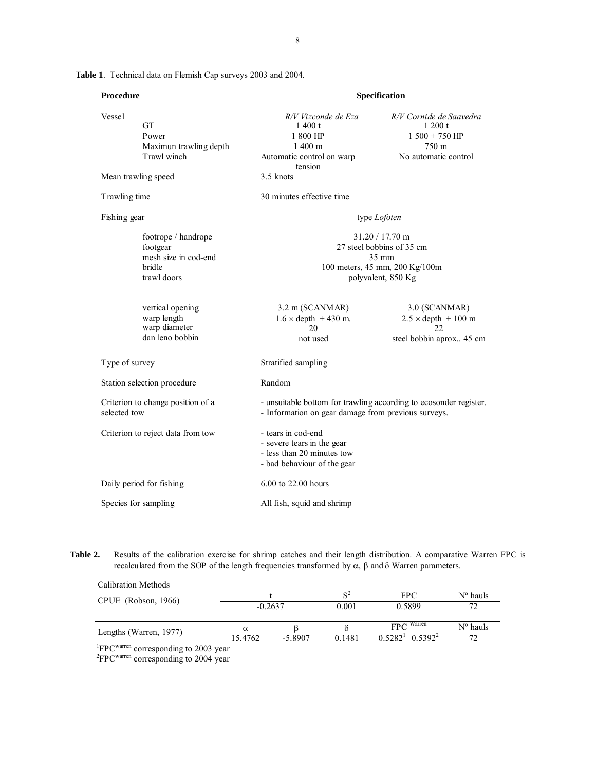| Procedure      |                                                                                  |                                                                                                                          | Specification                                                                                                           |
|----------------|----------------------------------------------------------------------------------|--------------------------------------------------------------------------------------------------------------------------|-------------------------------------------------------------------------------------------------------------------------|
| Vessel         | <b>GT</b><br>Power<br>Maximun trawling depth<br>Trawl winch                      | R/V Vizconde de Eza<br>1400 t<br>1 800 HP<br>$1,400 \; \mathrm{m}$<br>Automatic control on warp<br>tension               | R/V Cornide de Saavedra<br>1200 t<br>$1500 + 750$ HP<br>750 m<br>No automatic control                                   |
|                | Mean trawling speed                                                              | 3.5 knots                                                                                                                |                                                                                                                         |
| Trawling time  |                                                                                  | 30 minutes effective time                                                                                                |                                                                                                                         |
| Fishing gear   |                                                                                  |                                                                                                                          | type <i>Lofoten</i>                                                                                                     |
|                | footrope / handrope<br>footgear<br>mesh size in cod-end<br>bridle<br>trawl doors |                                                                                                                          | 31.20 / 17.70 m<br>27 steel bobbins of 35 cm<br>$35 \text{ mm}$<br>100 meters, 45 mm, 200 Kg/100m<br>polyvalent, 850 Kg |
|                | vertical opening<br>warp length<br>warp diameter<br>dan leno bobbin              | 3.2 m (SCANMAR)<br>$1.6 \times depth$ + 430 m.<br>20<br>not used                                                         | 3.0 (SCANMAR)<br>$2.5 \times depth$ + 100 m<br>22<br>steel bobbin aprox 45 cm                                           |
| Type of survey |                                                                                  | Stratified sampling                                                                                                      |                                                                                                                         |
|                | Station selection procedure                                                      | Random                                                                                                                   |                                                                                                                         |
| selected tow   | Criterion to change position of a                                                | - unsuitable bottom for trawling according to ecosonder register.<br>- Information on gear damage from previous surveys. |                                                                                                                         |
|                | Criterion to reject data from tow                                                | - tears in cod-end<br>- severe tears in the gear<br>- less than 20 minutes tow<br>- bad behaviour of the gear            |                                                                                                                         |
|                | Daily period for fishing                                                         | 6.00 to 22.00 hours                                                                                                      |                                                                                                                         |
|                | Species for sampling                                                             | All fish, squid and shrimp                                                                                               |                                                                                                                         |

**Table 1**. Technical data on Flemish Cap surveys 2003 and 2004.

**Table 2.** Results of the calibration exercise for shrimp catches and their length distribution. A comparative Warren FPC is recalculated from the SOP of the length frequencies transformed by α, β and δ Warren parameters.

| Calibration Methods                     |           |           |        |                                     |                   |
|-----------------------------------------|-----------|-----------|--------|-------------------------------------|-------------------|
| CPUE (Robson, 1966)                     |           |           |        | <b>FPC</b>                          | N° hauls          |
|                                         | $-0.2637$ |           | 0.001  | 0.5899                              | 72                |
| Lengths (Warren, 1977)                  | $\alpha$  |           |        | $FPC$ <sup>Warren</sup>             | $N^{\circ}$ hauls |
|                                         | 15.4762   | $-5.8907$ | 0.1481 | $0.5392^2$<br>$0.5282^{\mathrm{T}}$ | 72                |
| $1 \text{EDCWн and more than the 2002;$ |           |           |        |                                     |                   |

<sup>1</sup>FPC<sup>warren</sup> corresponding to 2003 year<br><sup>2</sup>FPC<sup>warren</sup> corresponding to 2004 year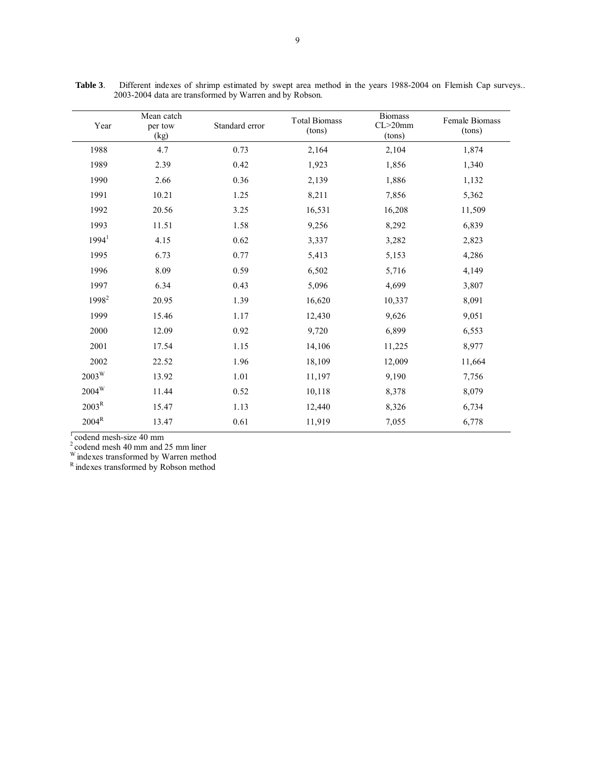| Year                | Mean catch<br>per tow<br>(kg) | Standard error | <b>Total Biomass</b><br>(tons) | <b>Biomass</b><br>$CL > 20$ mm<br>(tons) | Female Biomass<br>(tons) |
|---------------------|-------------------------------|----------------|--------------------------------|------------------------------------------|--------------------------|
| 1988                | 4.7                           | 0.73           | 2,164                          | 2,104                                    | 1,874                    |
| 1989                | 2.39                          | 0.42           | 1,923                          | 1,856                                    | 1,340                    |
| 1990                | 2.66                          | 0.36           | 2,139                          | 1,886                                    | 1,132                    |
| 1991                | 10.21                         | 1.25           | 8,211                          | 7,856                                    | 5,362                    |
| 1992                | 20.56                         | 3.25           | 16,531                         | 16,208                                   | 11,509                   |
| 1993                | 11.51                         | 1.58           | 9,256                          | 8,292                                    | 6,839                    |
| 1994 <sup>1</sup>   | 4.15                          | 0.62           | 3,337                          | 3,282                                    | 2,823                    |
| 1995                | 6.73                          | 0.77           | 5,413                          | 5,153                                    | 4,286                    |
| 1996                | 8.09                          | 0.59           | 6,502                          | 5,716                                    | 4,149                    |
| 1997                | 6.34                          | 0.43           | 5,096                          | 4,699                                    | 3,807                    |
| 1998 <sup>2</sup>   | 20.95                         | 1.39           | 16,620                         | 10,337                                   | 8,091                    |
| 1999                | 15.46                         | 1.17           | 12,430                         | 9,626                                    | 9,051                    |
| 2000                | 12.09                         | 0.92           | 9,720                          | 6,899                                    | 6,553                    |
| 2001                | 17.54                         | 1.15           | 14,106                         | 11,225                                   | 8,977                    |
| 2002                | 22.52                         | 1.96           | 18,109                         | 12,009                                   | 11,664                   |
| $2003^{\mathrm{W}}$ | 13.92                         | 1.01           | 11,197                         | 9,190                                    | 7,756                    |
| $2004^W$            | 11.44                         | 0.52           | 10,118                         | 8,378                                    | 8,079                    |
| 2003 <sup>R</sup>   | 15.47                         | 1.13           | 12,440                         | 8,326                                    | 6,734                    |
| $2004^{\rm R}$      | 13.47                         | 0.61           | 11,919                         | 7,055                                    | 6,778                    |

**Table 3**. Different indexes of shrimp estimated by swept area method in the years 1988-2004 on Flemish Cap surveys.. 2003-2004 data are transformed by Warren and by Robson.

1 codend mesh-size 40 mm

 $2^2$  codend mesh 40 mm and 25 mm liner

 $W$  indexes transformed by Warren method  $R$  indexes transformed by Robson method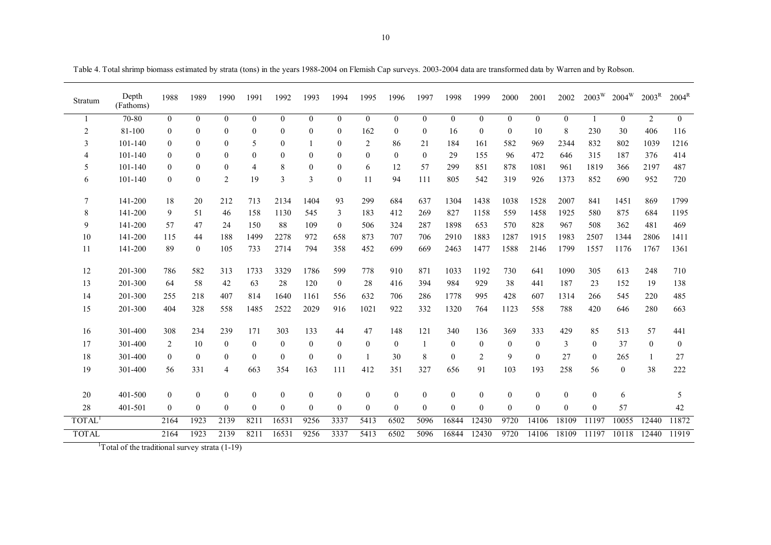| ×<br>٦<br>٧ |
|-------------|

Table 4. Total shrimp biomass estimated by strata (tons) in the years 1988-2004 on Flemish Cap surveys. 2003-2004 data are transformed data by Warren and by Robson.

| Stratum            | Depth<br>(Fathoms) | 1988             | 1989         | 1990           | 1991             | 1992         | 1993           | 1994             | 1995           | 1996         | 1997             | 1998           | 1999           | 2000             | 2001           | 2002         | $2003^{\mathrm{W}}$ | $2004^W$         | 2003 <sup>R</sup> | $2004^R$         |
|--------------------|--------------------|------------------|--------------|----------------|------------------|--------------|----------------|------------------|----------------|--------------|------------------|----------------|----------------|------------------|----------------|--------------|---------------------|------------------|-------------------|------------------|
|                    | 70-80              | $\mathbf{0}$     | $\theta$     | $\theta$       | $\mathbf{0}$     | $\theta$     | $\theta$       | $\mathbf{0}$     | $\overline{0}$ | $\theta$     | $\mathbf{0}$     | $\overline{0}$ | $\Omega$       | $\mathbf{0}$     | $\overline{0}$ | $\theta$     | $\mathbf{1}$        | $\overline{0}$   | 2                 | $\overline{0}$   |
| $\overline{2}$     | 81-100             | $\boldsymbol{0}$ | $\theta$     | $\theta$       | $\boldsymbol{0}$ | $\theta$     | $\theta$       | $\theta$         | 162            | $\mathbf{0}$ | $\mathbf{0}$     | 16             | $\theta$       | $\mathbf{0}$     | 10             | 8            | 230                 | 30               | 406               | 116              |
| 3                  | 101-140            | $\mathbf{0}$     | $\theta$     | $\theta$       | 5                | $\theta$     |                | $\mathbf{0}$     | $\overline{2}$ | 86           | 21               | 184            | 161            | 582              | 969            | 2344         | 832                 | 802              | 1039              | 1216             |
| $\overline{4}$     | 101-140            | $\mathbf{0}$     | $\theta$     | $\Omega$       | $\boldsymbol{0}$ | $\theta$     | $\Omega$       | $\theta$         | $\theta$       | $\theta$     | $\mathbf{0}$     | 29             | 155            | 96               | 472            | 646          | 315                 | 187              | 376               | 414              |
| 5                  | $101 - 140$        | $\bf{0}$         | $\theta$     | $\theta$       | 4                | 8            | $\theta$       | $\boldsymbol{0}$ | 6              | 12           | 57               | 299            | 851            | 878              | 1081           | 961          | 1819                | 366              | 2197              | 487              |
| 6                  | 101-140            | $\boldsymbol{0}$ | $\theta$     | $\overline{2}$ | 19               | 3            | $\overline{3}$ | $\boldsymbol{0}$ | 11             | 94           | 111              | 805            | 542            | 319              | 926            | 1373         | 852                 | 690              | 952               | 720              |
| 7                  | 141-200            | 18               | 20           | 212            | 713              | 2134         | 1404           | 93               | 299            | 684          | 637              | 1304           | 1438           | 1038             | 1528           | 2007         | 841                 | 1451             | 869               | 1799             |
| 8                  | 141-200            | 9                | 51           | 46             | 158              | 1130         | 545            | 3                | 183            | 412          | 269              | 827            | 1158           | 559              | 1458           | 1925         | 580                 | 875              | 684               | 1195             |
| 9                  | 141-200            | 57               | 47           | 24             | 150              | 88           | 109            | $\mathbf{0}$     | 506            | 324          | 287              | 1898           | 653            | 570              | 828            | 967          | 508                 | 362              | 481               | 469              |
| 10                 | 141-200            | 115              | 44           | 188            | 1499             | 2278         | 972            | 658              | 873            | 707          | 706              | 2910           | 1883           | 1287             | 1915           | 1983         | 2507                | 1344             | 2806              | 1411             |
| 11                 | 141-200            | 89               | $\mathbf{0}$ | 105            | 733              | 2714         | 794            | 358              | 452            | 699          | 669              | 2463           | 1477           | 1588             | 2146           | 1799         | 1557                | 1176             | 1767              | 1361             |
| 12                 | 201-300            | 786              | 582          | 313            | 1733             | 3329         | 1786           | 599              | 778            | 910          | 871              | 1033           | 1192           | 730              | 641            | 1090         | 305                 | 613              | 248               | 710              |
| 13                 | 201-300            | 64               | 58           | 42             | 63               | 28           | 120            | $\boldsymbol{0}$ | 28             | 416          | 394              | 984            | 929            | 38               | 441            | 187          | 23                  | 152              | 19                | 138              |
| 14                 | 201-300            | 255              | 218          | 407            | 814              | 1640         | 1161           | 556              | 632            | 706          | 286              | 1778           | 995            | 428              | 607            | 1314         | 266                 | 545              | 220               | 485              |
| 15                 | 201-300            | 404              | 328          | 558            | 1485             | 2522         | 2029           | 916              | 1021           | 922          | 332              | 1320           | 764            | 1123             | 558            | 788          | 420                 | 646              | 280               | 663              |
| 16                 | 301-400            | 308              | 234          | 239            | 171              | 303          | 133            | 44               | 47             | 148          | 121              | 340            | 136            | 369              | 333            | 429          | 85                  | 513              | 57                | 441              |
| 17                 | 301-400            | 2                | 10           | $\mathbf{0}$   | $\mathbf{0}$     | $\mathbf{0}$ | $\mathbf{0}$   | $\mathbf{0}$     | $\mathbf{0}$   | $\mathbf{0}$ | $\mathbf{1}$     | $\overline{0}$ | $\mathbf{0}$   | $\theta$         | $\overline{0}$ | 3            | $\mathbf{0}$        | 37               | $\theta$          | $\boldsymbol{0}$ |
| 18                 | 301-400            | $\bf{0}$         | $\mathbf{0}$ | $\mathbf{0}$   | $\mathbf{0}$     | $\theta$     | $\mathbf{0}$   | $\boldsymbol{0}$ |                | 30           | 8                | $\overline{0}$ | $\overline{2}$ | 9                | $\overline{0}$ | 27           | $\boldsymbol{0}$    | 265              |                   | 27               |
| 19                 | 301-400            | 56               | 331          | $\overline{4}$ | 663              | 354          | 163            | 111              | 412            | 351          | 327              | 656            | 91             | 103              | 193            | 258          | 56                  | $\boldsymbol{0}$ | 38                | 222              |
| 20                 | 401-500            | $\boldsymbol{0}$ | $\mathbf{0}$ | $\mathbf{0}$   | $\mathbf{0}$     | $\mathbf{0}$ | $\mathbf{0}$   | $\boldsymbol{0}$ | $\overline{0}$ | $\mathbf{0}$ | $\boldsymbol{0}$ | $\mathbf{0}$   | $\mathbf{0}$   | $\boldsymbol{0}$ | $\overline{0}$ | $\mathbf{0}$ | $\boldsymbol{0}$    | 6                |                   | 5                |
| 28                 | 401-501            | $\boldsymbol{0}$ | $\mathbf{0}$ | $\mathbf{0}$   | $\boldsymbol{0}$ | $\theta$     | $\mathbf{0}$   | $\boldsymbol{0}$ | $\overline{0}$ | $\mathbf{0}$ | $\mathbf{0}$     | $\overline{0}$ | $\theta$       | $\theta$         | $\overline{0}$ | $\theta$     | $\mathbf{0}$        | 57               |                   | 42               |
| TOTAL <sup>1</sup> |                    | 2164             | 1923         | 2139           | 8211             | 16531        | 9256           | 3337             | 5413           | 6502         | 5096             | 16844          | 12430          | 9720             | 14106          | 18109        | 11197               | 10055            | 12440             | 11872            |
|                    |                    |                  |              |                |                  |              |                |                  |                |              |                  |                |                |                  |                |              |                     |                  |                   |                  |
| <b>TOTAL</b>       |                    | 2164             | 1923         | 2139           | 8211             | 16531        | 9256           | 3337             | 5413           | 6502         | 5096             | 16844          | 12430          | 9720             | 14106          | 18109        | 11197               | 10118            | 12440             | 11919            |

 $1$ Total of the traditional survey strata (1-19)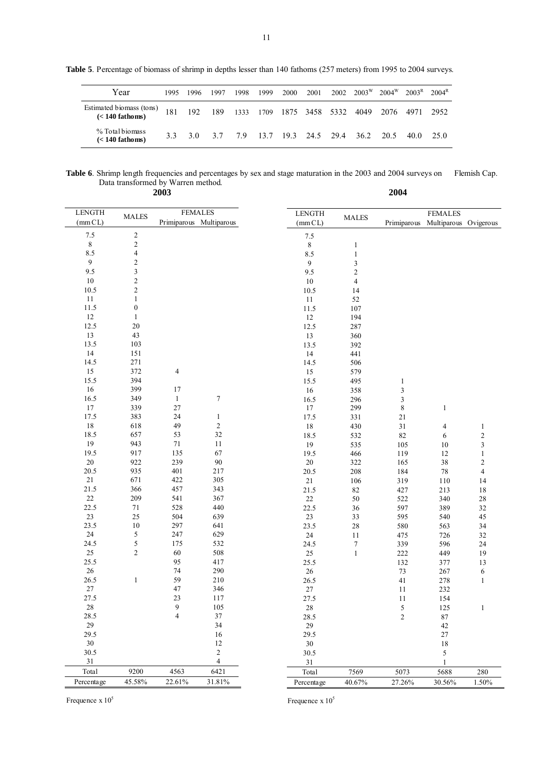**Table 5**. Percentage of biomass of shrimp in depths lesser than 140 fathoms (257 meters) from 1995 to 2004 surveys.

Table 6. Shrimp length frequencies and percentages by sex and stage maturation in the 2003 and 2004 surveys on Flemish Cap. Data transformed by Warren method.

| 2003                                     |                |                                           |                          |                         | 2004           |                                         |                         |
|------------------------------------------|----------------|-------------------------------------------|--------------------------|-------------------------|----------------|-----------------------------------------|-------------------------|
| <b>LENGTH</b><br><b>MALES</b><br>(mm CL) |                | <b>FEMALES</b><br>Primiparous Multiparous | <b>LENGTH</b><br>(mm CL) | <b>MALES</b>            | Primiparous    | <b>FEMALES</b><br>Multiparous Ovigerous |                         |
| $7.5\,$<br>$\overline{c}$                |                |                                           | $7.5\,$                  |                         |                |                                         |                         |
| $\overline{2}$<br>$\,$ 8 $\,$            |                |                                           | $\,$ 8 $\,$              | $\mathbf{1}$            |                |                                         |                         |
| $\overline{4}$<br>8.5                    |                |                                           | 8.5                      | $\,1$                   |                |                                         |                         |
| $\sqrt{2}$<br>9                          |                |                                           | 9                        | 3                       |                |                                         |                         |
| $\overline{\mathbf{3}}$<br>9.5           |                |                                           | 9.5                      | $\boldsymbol{2}$        |                |                                         |                         |
| $\overline{c}$<br>$10\,$                 |                |                                           | 10                       | $\overline{\mathbf{4}}$ |                |                                         |                         |
| $\overline{c}$<br>10.5                   |                |                                           | 10.5                     | 14                      |                |                                         |                         |
| $\mathbf{1}$<br>11                       |                |                                           | 11                       | 52                      |                |                                         |                         |
| $\boldsymbol{0}$<br>11.5                 |                |                                           | 11.5                     | 107                     |                |                                         |                         |
| 12<br>$\mathbf{1}$                       |                |                                           | 12                       | 194                     |                |                                         |                         |
| 12.5<br>$20\,$                           |                |                                           | 12.5                     | 287                     |                |                                         |                         |
| 13<br>43                                 |                |                                           | 13                       | 360                     |                |                                         |                         |
| 13.5<br>103                              |                |                                           | 13.5                     | 392                     |                |                                         |                         |
| 14<br>151                                |                |                                           | 14                       | 441                     |                |                                         |                         |
| 14.5<br>271                              |                |                                           | 14.5                     | 506                     |                |                                         |                         |
| 15<br>372                                | 4              |                                           | 15                       | 579                     |                |                                         |                         |
| 15.5<br>394                              |                |                                           | 15.5                     | 495                     | 1              |                                         |                         |
| 16<br>399                                | 17             |                                           | 16                       | 358                     | 3              |                                         |                         |
| 16.5<br>349                              | $\mathbf{1}$   | $\tau$                                    | 16.5                     | 296                     | 3              |                                         |                         |
| 17<br>339                                | $27\,$         |                                           | 17                       | 299                     | $\,8\,$        | $\mathbf{1}$                            |                         |
| 17.5<br>383                              | 24             | $\mathbf{1}$                              | 17.5                     | 331                     | 21             |                                         |                         |
| 18<br>618                                | 49             | $\sqrt{2}$                                | 18                       | 430                     | 31             | 4                                       | 1                       |
| 657<br>18.5                              | 53             | 32                                        | 18.5                     | 532                     | 82             | 6                                       | $\boldsymbol{2}$        |
| 19<br>943                                | 71             | 11                                        | 19                       | 535                     | 105            | 10                                      | 3                       |
| 19.5<br>917                              | 135            | 67                                        | 19.5                     | 466                     | 119            | 12                                      | $\,1$                   |
| 20<br>922                                | 239            | 90                                        | 20                       | 322                     | 165            | 38                                      | $\boldsymbol{2}$        |
| 20.5<br>935                              | 401            | 217                                       | 20.5                     | 208                     | 184            | 78                                      | $\overline{\mathbf{4}}$ |
| 21<br>671                                | 422            | 305                                       | 21                       | 106                     | 319            | 110                                     | 14                      |
| 21.5<br>366                              | 457            | 343                                       | 21.5                     | 82                      | 427            | 213                                     | $18\,$                  |
| $22\,$<br>209                            | 541            | 367                                       | $22\,$                   | 50                      | 522            | 340                                     | $28\,$                  |
| 22.5<br>71                               | 528            | 440                                       | 22.5                     | 36                      | 597            | 389                                     | 32                      |
| 23<br>25                                 | 504            | 639                                       | 23                       | 33                      | 595            | 540                                     | 45                      |
| 23.5<br>$10\,$                           | 297            | 641                                       | 23.5                     | 28                      | 580            | 563                                     | 34                      |
| 5<br>$24\,$                              | 247            | 629                                       | 24                       | 11                      | 475            | 726                                     | 32                      |
| 5<br>24.5                                | 175            | 532                                       | 24.5                     | $\boldsymbol{7}$        | 339            | 596                                     | 24                      |
| $\mathbf{2}$<br>25<br>25.5               | 60<br>95       | 508<br>417                                | 25                       | $\mathbf{1}$            | 222            | 449                                     | 19                      |
| 26                                       | 74             | 290                                       | 25.5                     |                         | 132            | 377                                     | 13                      |
| 26.5<br>$\mathbf{1}$                     | 59             | 210                                       | $26\,$<br>26.5           |                         | 73<br>41       | 267<br>278                              | 6                       |
| 27                                       | 47             | 346                                       | $27\,$                   |                         | 11             | 232                                     | $\mathbf{1}$            |
| 27.5                                     | 23             | $117\,$                                   | 27.5                     |                         | 11             | 154                                     |                         |
| 28                                       | 9              | 105                                       | 28                       |                         | 5              | 125                                     | $\mathbf{1}$            |
| 28.5                                     | $\overline{4}$ | $37\,$                                    | 28.5                     |                         | $\overline{c}$ | $87\,$                                  |                         |
| $29\,$                                   |                | 34                                        | 29                       |                         |                | 42                                      |                         |
| 29.5                                     |                | 16                                        | 29.5                     |                         |                | $27\,$                                  |                         |
| 30                                       |                | $12\,$                                    | 30                       |                         |                | 18                                      |                         |
| 30.5                                     |                | $\sqrt{2}$                                | 30.5                     |                         |                | 5                                       |                         |
| 31                                       |                | $\overline{4}$                            | $31\,$                   |                         |                | $\mathbf{1}$                            |                         |
| 9200<br>Total                            | 4563           | 6421                                      | Total                    | 7569                    | 5073           | 5688                                    | $280\,$                 |
| 45.58%<br>Percentage                     | 22.61%         | 31.81%                                    | Percentage               | 40.67%                  | 27.26%         | 30.56%                                  | 1.50%                   |

Frequence  $x 10^5$ 

Frequence  $x 10^5$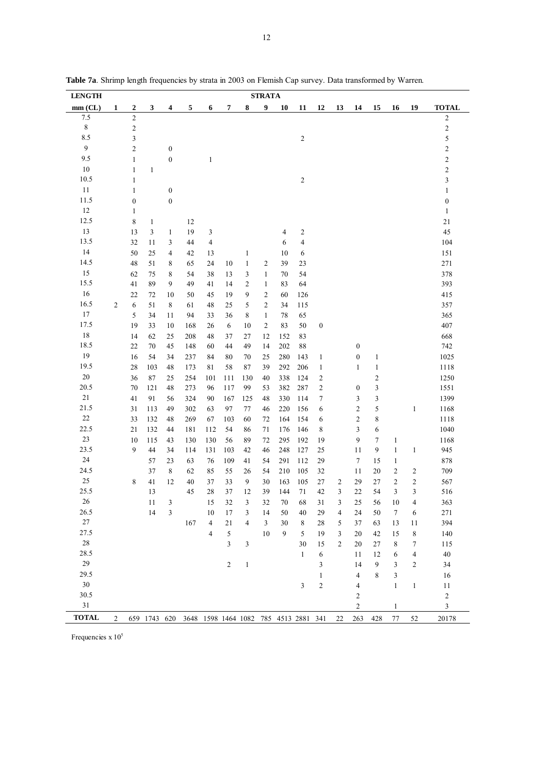| <b>LENGTH</b> |                |                  |              |                  |                                                    |                      |           |                | <b>STRATA</b>  |            |                         |                  |                     |                  |                         |                   |                 |                  |
|---------------|----------------|------------------|--------------|------------------|----------------------------------------------------|----------------------|-----------|----------------|----------------|------------|-------------------------|------------------|---------------------|------------------|-------------------------|-------------------|-----------------|------------------|
| $mm$ (CL)     | 1              | $\boldsymbol{2}$ | 3            | 4                | 5                                                  | 6                    | 7         | 8              | 9              | 10         | 11                      | 12               | 13                  | 14               | 15                      | 16                | 19              | <b>TOTAL</b>     |
| 7.5           |                | $\overline{c}$   |              |                  |                                                    |                      |           |                |                |            |                         |                  |                     |                  |                         |                   |                 | $\sqrt{2}$       |
| $\,$ 8 $\,$   |                | $\boldsymbol{2}$ |              |                  |                                                    |                      |           |                |                |            |                         |                  |                     |                  |                         |                   |                 | $\sqrt{2}$       |
| 8.5           |                | 3                |              |                  |                                                    |                      |           |                |                |            | $\overline{2}$          |                  |                     |                  |                         |                   |                 | 5                |
| $\mathbf{9}$  |                | $\overline{c}$   |              | $\boldsymbol{0}$ |                                                    |                      |           |                |                |            |                         |                  |                     |                  |                         |                   |                 | $\sqrt{2}$       |
| 9.5           |                | $\,1$            |              | $\boldsymbol{0}$ |                                                    | $\mathbf{1}$         |           |                |                |            |                         |                  |                     |                  |                         |                   |                 | $\overline{c}$   |
| 10            |                | $\mathbf{1}$     | $\mathbf{1}$ |                  |                                                    |                      |           |                |                |            |                         |                  |                     |                  |                         |                   |                 | $\overline{c}$   |
| 10.5          |                | $\,1\,$          |              |                  |                                                    |                      |           |                |                |            | $\sqrt{2}$              |                  |                     |                  |                         |                   |                 | $\mathfrak{Z}$   |
| 11            |                | $\mathbf{1}$     |              | $\boldsymbol{0}$ |                                                    |                      |           |                |                |            |                         |                  |                     |                  |                         |                   |                 | $\mathbf{1}$     |
| 11.5          |                | $\boldsymbol{0}$ |              | $\boldsymbol{0}$ |                                                    |                      |           |                |                |            |                         |                  |                     |                  |                         |                   |                 | $\boldsymbol{0}$ |
| 12            |                | 1                |              |                  |                                                    |                      |           |                |                |            |                         |                  |                     |                  |                         |                   |                 | $\mathbf{1}$     |
| 12.5          |                | 8                | $\mathbf{1}$ |                  | 12                                                 |                      |           |                |                |            |                         |                  |                     |                  |                         |                   |                 | 21               |
| 13            |                | 13               | 3            | $\mathbf{1}$     | 19                                                 | 3                    |           |                |                | 4          | $\sqrt{2}$              |                  |                     |                  |                         |                   |                 | 45               |
| 13.5          |                | 32               | 11           | 3                | 44                                                 | $\overline{4}$       |           |                |                | 6          | $\overline{\mathbf{4}}$ |                  |                     |                  |                         |                   |                 | 104              |
| 14            |                | 50               | 25           | $\overline{4}$   | 42                                                 | 13                   |           | $\mathbf{1}$   |                | 10         | 6                       |                  |                     |                  |                         |                   |                 | 151              |
| 14.5          |                | 48               | 51           | 8                | 65                                                 | 24                   | 10        | $\mathbf{1}$   | $\overline{c}$ | 39         | 23                      |                  |                     |                  |                         |                   |                 | 271              |
| 15            |                | 62               | 75           | 8                | 54                                                 | 38                   | 13        | 3              | $\mathbf{1}$   | $70\,$     | 54                      |                  |                     |                  |                         |                   |                 | 378              |
| 15.5          |                | 41               | 89           | 9                | 49                                                 | 41                   | 14        | $\overline{c}$ | $\mathbf{1}$   | 83         | 64                      |                  |                     |                  |                         |                   |                 | 393              |
| 16            |                | 22               | 72           | 10               | 50                                                 | 45                   | 19        | 9              | $\overline{c}$ | 60         | 126                     |                  |                     |                  |                         |                   |                 | 415              |
| 16.5          | 2              | 6                | 51           | 8                | 61                                                 | 48                   | 25        | 5              | $\overline{c}$ | 34         | 115                     |                  |                     |                  |                         |                   |                 | 357              |
| 17            |                | 5                | 34           | 11               | 94                                                 | 33                   | 36        | 8              | $\mathbf{1}$   | 78         | 65                      |                  |                     |                  |                         |                   |                 | 365              |
| 17.5          |                | 19               | 33           | 10               | 168                                                | 26                   | 6         | 10             | $\overline{c}$ | 83         | 50                      | $\boldsymbol{0}$ |                     |                  |                         |                   |                 | 407              |
| 18            |                | 14               | 62           | 25               | 208                                                | 48                   | 37        | 27             | 12             | 152        | 83                      |                  |                     |                  |                         |                   |                 | 668              |
| 18.5          |                | 22               | 70           | 45               | 148                                                | 60                   | 44        | 49             | 14             | 202        | 88                      |                  |                     | $\boldsymbol{0}$ |                         |                   |                 | 742              |
| 19            |                | 16               | 54           | 34               | 237                                                | 84                   | 80        | 70             | 25             | 280        | 143                     | $\mathbf{1}$     |                     | $\boldsymbol{0}$ | $\mathbf{1}$            |                   |                 | 1025             |
| 19.5          |                | 28               | 103          | 48               | 173                                                | 81                   | 58        | 87             | 39             | 292        | 206                     | $\mathbf{1}$     |                     | 1                | $\mathbf{1}$            |                   |                 | 1118             |
| $20\,$        |                | 36               | 87           | 25               | 254                                                | 101                  | 111       | 130            | 40             | 338        | 124                     | $\overline{c}$   |                     |                  | $\overline{\mathbf{c}}$ |                   |                 | 1250             |
| 20.5          |                | 70               | 121          | 48               | 273                                                | 96                   | 117       | 99             | 53             | 382        | 287                     | $\boldsymbol{2}$ |                     | $\boldsymbol{0}$ | 3                       |                   |                 | 1551             |
| 21            |                | 41               | 91           | 56               | 324                                                | 90                   | 167       | 125            | 48             | 330        | 114                     | $\tau$           |                     | 3                | 3                       |                   |                 | 1399             |
| 21.5          |                | 31               | 113          | 49               | 302                                                | 63                   | 97        | 77             | 46             | 220        |                         | 6                |                     | 2                | 5                       |                   |                 | 1168             |
| $22\,$        |                | 33               | 132          | 48               | 269                                                | 67                   | 103       | 60             | 72             | 164        | 156<br>154              | 6                |                     | 2                | 8                       |                   | $\mathbf{1}$    | 1118             |
| 22.5          |                | 21               | 132          | 44               |                                                    | 112                  | 54        | 86             | 71             | 176        |                         | 8                |                     | 3                | 6                       |                   |                 | 1040             |
| 23            |                |                  |              |                  | 181                                                |                      |           |                |                |            | 146                     |                  |                     |                  | $\tau$                  |                   |                 |                  |
| 23.5          |                | 10<br>9          | 115<br>44    | 43<br>34         | 130                                                | 130<br>131           | 56<br>103 | 89<br>42       | 72<br>46       | 295<br>248 | 192<br>127              | 19<br>25         |                     | 9<br>11          | 9                       | 1<br>$\mathbf{1}$ | $\mathbf{1}$    | 1168<br>945      |
| 24            |                |                  | 57           |                  | 114                                                | 76                   | 109       | 41             |                | 291        | 112                     | 29               |                     | $\tau$           | 15                      |                   |                 | 878              |
| 24.5          |                |                  | 37           | 23<br>8          | 63<br>62                                           | 85                   | 55        |                | 54<br>54       | 210        | 105                     | 32               |                     | 11               | 20                      | $\mathbf{1}$<br>2 | $\sqrt{2}$      | 709              |
| 25            |                | 8                |              | 12               |                                                    |                      |           | 26             |                |            |                         |                  |                     |                  |                         | $\mathfrak{2}$    |                 |                  |
| 25.5          |                |                  | 41<br>13     |                  | 40<br>45                                           | 37<br>28             | 33<br>37  | 9<br>12        | 30<br>39       | 163<br>144 | 105<br>71               | 27<br>42         | $\overline{c}$<br>3 | 29<br>$22\,$     | 27<br>54                | 3                 | $\sqrt{2}$<br>3 | 567<br>516       |
| 26            |                |                  | 11           | $\mathbf{3}$     |                                                    | 15                   | 32        | $\overline{3}$ | 32             |            | 68                      | 31               | $\overline{3}$      | 25               |                         |                   | 4               |                  |
| 26.5          |                |                  |              |                  |                                                    |                      |           |                |                | 70         |                         |                  |                     |                  | 56                      | 10                |                 | 363              |
| 27            |                |                  | 14           | 3                | 167                                                | 10<br>$\overline{4}$ | 17<br>21  | 3<br>4         | 14             | 50<br>30   | 40                      | 29               | 4                   | 24<br>37         | $50\,$                  | $\boldsymbol{7}$  | 6               | 271<br>394       |
| 27.5          |                |                  |              |                  |                                                    |                      |           |                | 3<br>10        |            | 8                       | 28               | 5                   |                  | 63                      | 13                | 11              |                  |
| $28\,$        |                |                  |              |                  |                                                    | 4                    | 5         |                |                | 9          | 5                       | 19               | 3                   | 20               | 42                      | 15                | $\,$ 8 $\,$     | 140              |
| 28.5          |                |                  |              |                  |                                                    |                      | 3         | 3              |                |            | 30<br>$\mathbf{1}$      | 15               | $\overline{c}$      | 20               | 27                      | 8                 | 7               | 115              |
| $29\,$        |                |                  |              |                  |                                                    |                      |           |                |                |            |                         | 6                |                     | 11               | 12                      | 6                 | $\overline{4}$  | 40               |
| 29.5          |                |                  |              |                  |                                                    |                      | 2         | $\mathbf{1}$   |                |            |                         | 3                |                     | 14               | 9                       | 3                 | $\overline{c}$  | 34               |
| 30            |                |                  |              |                  |                                                    |                      |           |                |                |            |                         | 1                |                     | 4                | 8                       | 3                 |                 | 16               |
| 30.5          |                |                  |              |                  |                                                    |                      |           |                |                |            | 3                       | $\sqrt{2}$       |                     | 4                |                         | $\mathbf{1}$      | $\,1\,$         | 11               |
| 31            |                |                  |              |                  |                                                    |                      |           |                |                |            |                         |                  |                     | 2                |                         |                   |                 | $\sqrt{2}$       |
|               |                |                  |              |                  |                                                    |                      |           |                |                |            |                         |                  |                     | 2                |                         | 1                 |                 | 3                |
| <b>TOTAL</b>  | $\overline{2}$ |                  |              |                  | 659 1743 620 3648 1598 1464 1082 785 4513 2881 341 |                      |           |                |                |            |                         |                  | 22                  | 263              | 428                     | 77                | 52              | 20178            |

Table 7a. Shrimp length frequencies by strata in 2003 on Flemish Cap survey. Data transformed by Warren.

Frequencies x  $10^5$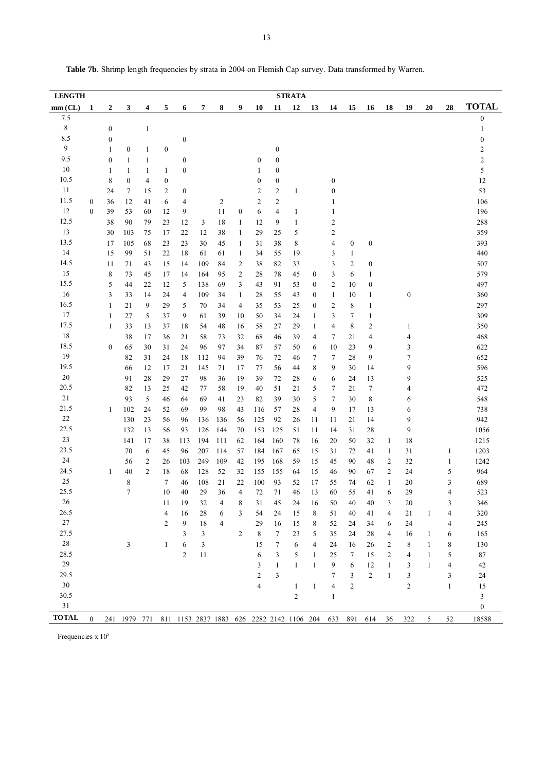| <b>LENGTH</b> |                  |                  |                                                                    |                |                  |                  |                |                |                  |                  |                  | <b>STRATA</b>  |                  |                  |                  |                  |                |                  |              |                         |                  |
|---------------|------------------|------------------|--------------------------------------------------------------------|----------------|------------------|------------------|----------------|----------------|------------------|------------------|------------------|----------------|------------------|------------------|------------------|------------------|----------------|------------------|--------------|-------------------------|------------------|
| $mm$ (CL)     | 1                | 2                | 3                                                                  | 4              | 5                | 6                | 7              | 8              | 9                | 10               | 11               | 12             | 13               | 14               | 15               | 16               | 18             | 19               | 20           | 28                      | <b>TOTAL</b>     |
| 7.5           |                  |                  |                                                                    |                |                  |                  |                |                |                  |                  |                  |                |                  |                  |                  |                  |                |                  |              |                         | 0                |
| 8             |                  | $\boldsymbol{0}$ |                                                                    | $\mathbf{1}$   |                  |                  |                |                |                  |                  |                  |                |                  |                  |                  |                  |                |                  |              |                         | 1                |
| 8.5           |                  | $\boldsymbol{0}$ |                                                                    |                |                  | $\boldsymbol{0}$ |                |                |                  |                  |                  |                |                  |                  |                  |                  |                |                  |              |                         | 0                |
| 9             |                  | 1                | $\boldsymbol{0}$                                                   | $\mathbf{1}$   | $\boldsymbol{0}$ |                  |                |                |                  |                  | $\boldsymbol{0}$ |                |                  |                  |                  |                  |                |                  |              |                         | 2                |
| 9.5           |                  | $\boldsymbol{0}$ | 1                                                                  | 1              |                  | 0                |                |                |                  | $\boldsymbol{0}$ | $\boldsymbol{0}$ |                |                  |                  |                  |                  |                |                  |              |                         | 2                |
| 10            |                  | 1                | 1                                                                  | 1              | 1                | $\boldsymbol{0}$ |                |                |                  | 1                | $\boldsymbol{0}$ |                |                  |                  |                  |                  |                |                  |              |                         | 5                |
| 10.5          |                  | 8                | 0                                                                  | 4              | $\boldsymbol{0}$ |                  |                |                |                  | $\boldsymbol{0}$ | $\boldsymbol{0}$ |                |                  | $\boldsymbol{0}$ |                  |                  |                |                  |              |                         | 12               |
| 11            |                  | 24               | 7                                                                  | 15             | 2                | 0                |                |                |                  | 2                | 2                | $\mathbf{1}$   |                  | $\boldsymbol{0}$ |                  |                  |                |                  |              |                         | 53               |
| 11.5          | $\boldsymbol{0}$ | 36               | 12                                                                 | 41             | 6                | 4                |                | $\overline{c}$ |                  | $\overline{c}$   | 2                |                |                  | 1                |                  |                  |                |                  |              |                         | 106              |
| 12            | $\mathbf{0}$     | 39               | 53                                                                 | 60             | 12               | 9                |                | 11             | $\boldsymbol{0}$ | 6                | $\overline{4}$   | $\mathbf{1}$   |                  |                  |                  |                  |                |                  |              |                         | 196              |
| 12.5          |                  | 38               | 90                                                                 | 79             | 23               | 12               | 3              | 18             | 1                | 12               | 9                | $\mathbf{1}$   |                  | 2                |                  |                  |                |                  |              |                         | 288              |
| 13            |                  | 30               | 103                                                                | 75             | 17               | 22               | 12             | 38             | 1                | 29               | 25               | 5              |                  | 2                |                  |                  |                |                  |              |                         | 359              |
| 13.5          |                  | 17               | 105                                                                | 68             | 23               | 23               | 30             | 45             | 1                | 31               | 38               | 8              |                  | 4                | $\boldsymbol{0}$ | $\boldsymbol{0}$ |                |                  |              |                         | 393              |
| 14            |                  | 15               | 99                                                                 | 51             | 22               | 18               | 61             | 61             | 1                | 34               | 55               | 19             |                  | 3                | $\mathbf{1}$     |                  |                |                  |              |                         | 440              |
| 14.5          |                  | 11               | 71                                                                 | 43             | 15               | 14               | 109            | 84             | 2                | 38               | 82               | 33             |                  | 3                | 2                | 0                |                |                  |              |                         | 507              |
| 15            |                  | 8                | 73                                                                 | 45             | 17               | 14               | 164            | 95             | 2                | 28               | 78               | 45             | 0                | 3                | 6                | 1                |                |                  |              |                         | 579              |
| 15.5          |                  | 5                | 44                                                                 | 22             | 12               | 5                | 138            | 69             | 3                | 43               | 91               | 53             | 0                | 2                | 10               | $\boldsymbol{0}$ |                |                  |              |                         | 497              |
| 16            |                  | 3                | 33                                                                 | 14             | 24               | 4                | 109            | 34             | 1                | 28               | 55               | 43             | 0                | 1                | 10               | 1                |                | $\boldsymbol{0}$ |              |                         | 360              |
| 16.5          |                  | 1                | 21                                                                 | 9              | 29               | 5                | 70             | 34             | 4                | 35               | 53               | 25             | $\boldsymbol{0}$ | 2                | 8                | 1                |                |                  |              |                         | 297              |
| 17            |                  | 1                | 27                                                                 | 5              | 37               | 9                | 61             | 39             | 10               | 50               | 34               | 24             | $\mathbf{1}$     | 3                | 7                | $\mathbf{1}$     |                |                  |              |                         | 309              |
| 17.5          |                  | $\mathbf{1}$     | 33                                                                 | 13             | 37               | 18               | 54             | 48             | 16               | 58               | 27               | 29             | 1                | 4                | 8                | $\overline{c}$   |                | 1                |              |                         | 350              |
| 18            |                  |                  | 38                                                                 | 17             | 36               | 21               | 58             | 73             | 32               | 68               | 46               | 39             | 4                | 7                | 21               | 4                |                | 4                |              |                         | 468              |
| 18.5          |                  | $\boldsymbol{0}$ | 65                                                                 | 30             | 31               | 24               | 96             | 97             | 34               | 87               | 57               | 50             | 6                | 10               | 23               | 9                |                | 3                |              |                         | 622              |
| 19            |                  |                  | 82                                                                 | 31             | 24               | 18               | 112            | 94             | 39               | 76               | 72               | 46             | 7                | 7                | 28               | 9                |                | 7                |              |                         | 652              |
| 19.5          |                  |                  | 66                                                                 | 12             | 17               | 21               | 145            | 71             | 17               | 77               | 56               | 44             | 8                | 9                | 30               | 14               |                | 9                |              |                         | 596              |
| $20\,$        |                  |                  | 91                                                                 | 28             | 29               | 27               | 98             | 36             | 19               | 39               | 72               | 28             | 6                | 6                | 24               | 13               |                | 9                |              |                         | 525              |
| 20.5          |                  |                  | 82                                                                 | 13             | 25               | 42               | 77             | 58             | 19               | 40               | 51               | 21             | 5                | 7                | 21               | 7                |                | 4                |              |                         | 472              |
| 21            |                  |                  | 93                                                                 | 5              | 46               | 64               | 69             | 41             | 23               | 82               | 39               | 30             | 5                | 7                | 30               | 8                |                | 6                |              |                         | 548              |
| 21.5          |                  | 1                | 102                                                                | 24             | 52               | 69               | 99             | 98             | 43               | 116              | 57               | 28             | $\overline{4}$   | 9                | 17               | 13               |                | 6                |              |                         | 738              |
| 22            |                  |                  | 130                                                                | 23             | 56               | 96               | 136            | 136            | 56               | 125              | 92               | 26             | 11               | 11               | 21               | 14               |                | 9                |              |                         | 942              |
| 22.5          |                  |                  | 132                                                                | 13             | 56               | 93               | 126            | 144            | 70               | 153              | 125              | 51             | 11               | 14               | 31               | 28               |                | 9                |              |                         | 1056             |
| 23            |                  |                  | 141                                                                | 17             | 38               | 113              | 194            | 111            | 62               | 164              | 160              | 78             | 16               | 20               | 50               | 32               | 1              | 18               |              |                         | 1215             |
| 23.5          |                  |                  | 70                                                                 | 6              | 45               | 96               | 207            | 114            | 57               | 184              | 167              | 65             | 15               | 31               | 72               | 41               | 1              | 31               |              | 1                       | 1203             |
| 24            |                  |                  | 56                                                                 | 2              | 26               | 103              | 249            | 109            | 42               | 195              | 168              | 59             | 15               | 45               | 90               | 48               | 2              | 32               |              | 1                       | 1242             |
| 24.5          |                  | 1                | 40                                                                 | $\overline{2}$ | 18               | 68               | 128            | 52             | 32               | 155              | 155              | 64             | 15               | 46               | 90               | 67               | 2              | 24               |              | 5                       | 964              |
| $25\,$        |                  |                  | 8                                                                  |                | 7                | 46               | 108            | 21             | 22               | 100              | 93               | 52             | 17               | 55               | 74               | 62               | 1              | 20               |              | 3                       | 689              |
| 25.5          |                  |                  | $\overline{7}$                                                     |                | 10               | 40               | 29             | 36             | $\overline{4}$   | 72               | 71               | 46             | 13               | 60               | 55               | 41               | 6              | 29               |              | 4                       | 523              |
| $26\,$        |                  |                  |                                                                    |                | 11               | 19               | $32\,$         | $\overline{4}$ | $\bf 8$          | 31               | 45               | $24\,$         | $16\,$           | 50               | $40\,$           | $40\,$           | 3              | $20\,$           |              | 3                       | 346              |
| 26.5          |                  |                  |                                                                    |                | 4                | 16               | 28             | 6              | 3                | 54               | 24               | 15             | 8                | 51               | 40               | 41               | 4              | 21               | $\mathbf{1}$ | 4                       | 320              |
| $27\,$        |                  |                  |                                                                    |                | $\overline{2}$   | $\boldsymbol{9}$ | 18             | $\overline{4}$ |                  | 29               | 16               | 15             | 8                | 52               | 24               | 34               | 6              | 24               |              | 4                       | 245              |
| 27.5          |                  |                  |                                                                    |                |                  | 3                | $\mathfrak{Z}$ |                | 2                | $\,8\,$          | $7\phantom{.0}$  | 23             | 5                | 35               | 24               | 28               | 4              | 16               | $\mathbf{1}$ | 6                       | 165              |
| $28\,$        |                  |                  | 3                                                                  |                | $\mathbf{1}$     | 6                | $\mathfrak{Z}$ |                |                  | 15               | $\tau$           | $\sqrt{6}$     | 4                | 24               | 16               | 26               | 2              | 8                | $\mathbf{1}$ | 8                       | 130              |
| 28.5          |                  |                  |                                                                    |                |                  | $\overline{c}$   | 11             |                |                  | 6                | $\mathfrak{Z}$   | $\sqrt{5}$     | $\mathbf{1}$     | 25               | 7                | 15               | $\overline{c}$ | $\overline{4}$   | $\mathbf{1}$ | 5                       | $87\,$           |
| 29            |                  |                  |                                                                    |                |                  |                  |                |                |                  | 3                | $\mathbf{1}$     | $\mathbf{1}$   | 1                | 9                | 6                | 12               | $\mathbf{1}$   | $\mathbf{3}$     | $\mathbf{1}$ | $\overline{\mathbf{4}}$ | $42\,$           |
| 29.5          |                  |                  |                                                                    |                |                  |                  |                |                |                  | $\overline{2}$   | 3                |                |                  | 7                | 3                | $\overline{2}$   | $\mathbf{1}$   | 3                |              | 3                       | 24               |
| $30\,$        |                  |                  |                                                                    |                |                  |                  |                |                |                  | $\overline{4}$   |                  | $\mathbf{1}$   | $\mathbf{1}$     | $\overline{4}$   | $\overline{c}$   |                  |                | $\overline{2}$   |              | $\mathbf{1}$            | 15               |
| 30.5          |                  |                  |                                                                    |                |                  |                  |                |                |                  |                  |                  | $\overline{2}$ |                  | $\mathbf{1}$     |                  |                  |                |                  |              |                         | $\mathfrak{Z}$   |
| 31            |                  |                  |                                                                    |                |                  |                  |                |                |                  |                  |                  |                |                  |                  |                  |                  |                |                  |              |                         | $\boldsymbol{0}$ |
|               |                  |                  |                                                                    |                |                  |                  |                |                |                  |                  |                  |                |                  |                  |                  |                  |                |                  |              |                         |                  |
| <b>TOTAL</b>  | $\theta$         |                  | 241 1979 771 811 1153 2837 1883 626 2282 2142 1106 204 633 891 614 |                |                  |                  |                |                |                  |                  |                  |                |                  |                  |                  |                  | 36             | 322              | 5            | 52                      | 18588            |

Table 7b. Shrimp length frequencies by strata in 2004 on Flemish Cap survey. Data transformed by Warren.

Frequencies x  $10^5$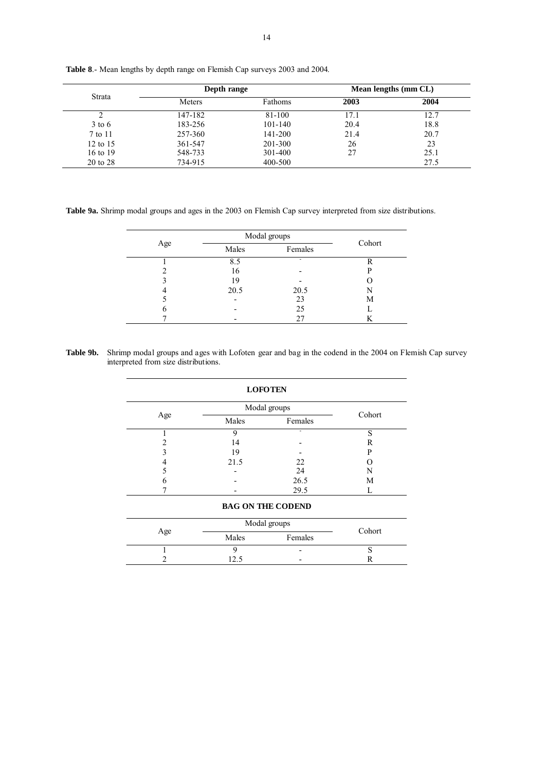|          | Depth range |             |      | Mean lengths (mm CL) |
|----------|-------------|-------------|------|----------------------|
| Strata   | Meters      | Fathoms     | 2003 | 2004                 |
|          | 147-182     | 81-100      | 17.1 | 12.7                 |
| $3$ to 6 | 183-256     | $101 - 140$ | 20.4 | 18.8                 |
| 7 to 11  | 257-360     | 141-200     | 21.4 | 20.7                 |
| 12 to 15 | 361-547     | 201-300     | 26   | 23                   |
| 16 to 19 | 548-733     | 301-400     | 27   | 25.1                 |
| 20 to 28 | 734-915     | 400-500     |      | 27.5                 |

**Table 8**.- Mean lengths by depth range on Flemish Cap surveys 2003 and 2004.

**Table 9a.** Shrimp modal groups and ages in the 2003 on Flemish Cap survey interpreted from size distributions.

|     | Modal groups | Cohort                   |   |
|-----|--------------|--------------------------|---|
| Age | Males        | Females                  |   |
|     | 8.5          | $\overline{\phantom{a}}$ | R |
|     | 16           |                          | D |
|     | 19           |                          |   |
|     | 20.5         | 20.5                     | N |
|     |              | 23                       | М |
| n   |              | 25                       |   |
|     |              | 27                       | ĸ |

**Table 9b.** Shrimp modal groups and ages with Lofoten gear and bag in the codend in the 2004 on Flemish Cap survey interpreted from size distributions.

|     | Modal groups | Cohort  |   |
|-----|--------------|---------|---|
| Age | Males        | Females |   |
|     | 9            |         | S |
|     | 14           |         | R |
|     | 19           |         | P |
| 4   | 21.5         | 22      |   |
|     |              | 24      | N |
| n   |              | 26.5    | М |
|     |              | 29.5    |   |

|     | Modal groups | Cohort                   |  |
|-----|--------------|--------------------------|--|
| Age | Males        | Females                  |  |
|     |              | -                        |  |
|     |              | $\overline{\phantom{0}}$ |  |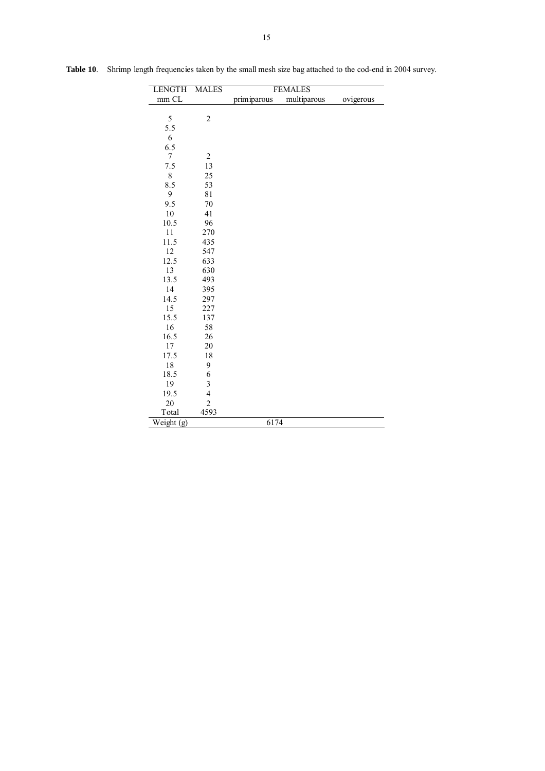| <b>LENGTH</b>                  | <b>MALES</b>            |             | <b>FEMALES</b> |           |
|--------------------------------|-------------------------|-------------|----------------|-----------|
| mm CL                          |                         | primiparous | multiparous    | ovigerous |
|                                |                         |             |                |           |
| 5                              | $\boldsymbol{2}$        |             |                |           |
| 5.5                            |                         |             |                |           |
| 6                              |                         |             |                |           |
| 6.5                            |                         |             |                |           |
| $\tau$                         | $\overline{2}$          |             |                |           |
| 7.5                            | 13                      |             |                |           |
| $8\,$                          | 25                      |             |                |           |
| 8.5                            | 53                      |             |                |           |
| 9                              | 81                      |             |                |           |
| 9.5                            | 70                      |             |                |           |
| 10                             | 41                      |             |                |           |
| 10.5                           | 96                      |             |                |           |
| 11                             | 270                     |             |                |           |
| 11.5                           | 435                     |             |                |           |
| 12                             | 547                     |             |                |           |
| 12.5                           | 633                     |             |                |           |
| 13                             | 630                     |             |                |           |
| 13.5                           | 493                     |             |                |           |
| 14                             | 395                     |             |                |           |
| 14.5                           | 297                     |             |                |           |
| 15                             | 227                     |             |                |           |
| 15.5                           | 137                     |             |                |           |
| 16                             | 58                      |             |                |           |
| 16.5                           | 26                      |             |                |           |
| 17                             | 20                      |             |                |           |
| 17.5                           | 18                      |             |                |           |
| 18                             | 9                       |             |                |           |
| 18.5                           | 6                       |             |                |           |
| 19                             | 3                       |             |                |           |
| 19.5                           | $\overline{\mathbf{4}}$ |             |                |           |
| 20                             | $\overline{2}$          |             |                |           |
| Total                          | 4593                    |             |                |           |
| $\overline{\text{Weight}}$ (g) |                         | 6174        |                |           |

Table 10. Shrimp length frequencies taken by the small mesh size bag attached to the cod-end in 2004 survey.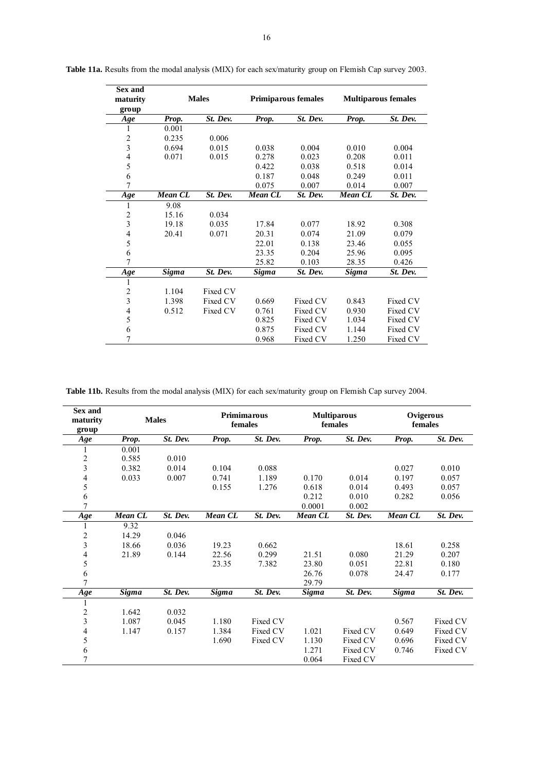| Sex and<br>maturity<br>group |                | <b>Males</b> |                | <b>Primiparous females</b> | <b>Multiparous females</b> |          |  |  |  |
|------------------------------|----------------|--------------|----------------|----------------------------|----------------------------|----------|--|--|--|
| Age                          | Prop.          | St. Dev.     | Prop.          | St. Dev.                   | Prop.                      | St. Dev. |  |  |  |
| 1                            | 0.001          |              |                |                            |                            |          |  |  |  |
| $\boldsymbol{2}$             | 0.235          | 0.006        |                |                            |                            |          |  |  |  |
| $\overline{\mathbf{3}}$      | 0.694          | 0.015        | 0.038          | 0.004                      | 0.010                      | 0.004    |  |  |  |
| $\overline{\mathcal{L}}$     | 0.071          | 0.015        | 0.278          | 0.023                      | 0.208                      | 0.011    |  |  |  |
| 5                            |                |              | 0.422          | 0.038                      | 0.518                      | 0.014    |  |  |  |
| 6                            |                |              | 0.187          | 0.048                      | 0.249                      | 0.011    |  |  |  |
| 7                            |                |              | 0.075          | 0.007                      | 0.014                      | 0.007    |  |  |  |
| Age                          | <b>Mean CL</b> | St. Dev.     | <b>Mean CL</b> | St. Dev.                   | Mean $\overline{CL}$       | St. Dev. |  |  |  |
| 1                            | 9.08           |              |                |                            |                            |          |  |  |  |
|                              | 15.16          | 0.034        |                |                            |                            |          |  |  |  |
| $\frac{2}{3}$                | 19.18          | 0.035        | 17.84          | 0.077                      | 18.92                      | 0.308    |  |  |  |
| $\overline{\mathcal{L}}$     | 20.41          | 0.071        | 20.31          | 0.074                      | 21.09                      | 0.079    |  |  |  |
| 5                            |                |              | 22.01          | 0.138                      | 23.46                      | 0.055    |  |  |  |
| 6                            |                |              | 23.35          | 0.204                      | 25.96                      | 0.095    |  |  |  |
| 7                            |                |              | 25.82          | 0.103                      | 28.35                      | 0.426    |  |  |  |
| Age                          | Sigma          | St. Dev.     | <b>Sigma</b>   | St. Dev.                   | Sigma                      | St. Dev. |  |  |  |
| 1                            |                |              |                |                            |                            |          |  |  |  |
| $\overline{\mathbf{c}}$      | 1.104          | Fixed CV     |                |                            |                            |          |  |  |  |
| $\overline{\mathbf{3}}$      | 1.398          | Fixed CV     | 0.669          | Fixed CV                   | 0.843                      | Fixed CV |  |  |  |
| $\overline{\mathcal{L}}$     | 0.512          | Fixed CV     | 0.761          | Fixed CV                   | 0.930                      | Fixed CV |  |  |  |
| 5                            |                |              | 0.825          | Fixed CV                   | 1.034                      | Fixed CV |  |  |  |
| 6                            |                |              | 0.875          | Fixed CV                   | 1.144                      | Fixed CV |  |  |  |
| 7                            |                |              | 0.968          | Fixed CV                   | 1.250                      | Fixed CV |  |  |  |

Table 11a. Results from the modal analysis (MIX) for each sex/maturity group on Flemish Cap survey 2003.

Table 11b. Results from the modal analysis (MIX) for each sex/maturity group on Flemish Cap survey 2004.

| <b>Sex and</b><br>maturity<br>group |              | <b>Males</b> |              | <b>Primimarous</b><br>females | <b>Multiparous</b><br>females |          | Ovigerous<br>females |          |  |
|-------------------------------------|--------------|--------------|--------------|-------------------------------|-------------------------------|----------|----------------------|----------|--|
| Age                                 | Prop.        | St. Dev.     | Prop.        | St. Dev.                      | Prop.                         | St. Dev. | Prop.                | St. Dev. |  |
|                                     | 0.001        |              |              |                               |                               |          |                      |          |  |
| $\overline{\mathbf{c}}$             | 0.585        | 0.010        |              |                               |                               |          |                      |          |  |
| 3                                   | 0.382        | 0.014        | 0.104        | 0.088                         |                               |          | 0.027                | 0.010    |  |
| $\overline{\mathcal{L}}$            | 0.033        | 0.007        | 0.741        | 1.189                         | 0.170                         | 0.014    | 0.197                | 0.057    |  |
| 5                                   |              |              | 0.155        | 1.276                         | 0.618                         | 0.014    | 0.493                | 0.057    |  |
| $\sqrt{6}$                          |              |              |              |                               | 0.212                         | 0.010    | 0.282                | 0.056    |  |
| 7                                   |              |              |              |                               | 0.0001                        | 0.002    |                      |          |  |
| Age                                 | Mean CL      | St. Dev.     | Mean CL      | St. Dev.                      | Mean CL                       | St. Dev. | Mean CL              | St. Dev. |  |
|                                     | 9.32         |              |              |                               |                               |          |                      |          |  |
| $\overline{\mathbf{c}}$             | 14.29        | 0.046        |              |                               |                               |          |                      |          |  |
| 3                                   | 18.66        | 0.036        | 19.23        | 0.662                         |                               |          | 18.61                | 0.258    |  |
| $\overline{\mathcal{L}}$            | 21.89        | 0.144        | 22.56        | 0.299                         | 21.51                         | 0.080    | 21.29                | 0.207    |  |
| 5                                   |              |              | 23.35        | 7.382                         | 23.80                         | 0.051    | 22.81                | 0.180    |  |
| $\sqrt{6}$                          |              |              |              |                               | 26.76                         | 0.078    | 24.47                | 0.177    |  |
| $\overline{7}$                      |              |              |              |                               | 29.79                         |          |                      |          |  |
| Age                                 | <b>Sigma</b> | St. Dev.     | <b>Sigma</b> | St. Dev.                      | <b>Sigma</b>                  | St. Dev. | <b>Sigma</b>         | St. Dev. |  |
| 1                                   |              |              |              |                               |                               |          |                      |          |  |
| 2                                   | 1.642        | 0.032        |              |                               |                               |          |                      |          |  |
| 3                                   | 1.087        | 0.045        | 1.180        | Fixed CV                      |                               |          | 0.567                | Fixed CV |  |
| 4                                   | 1.147        | 0.157        | 1.384        | Fixed CV                      | 1.021                         | Fixed CV | 0.649                | Fixed CV |  |
| 5                                   |              |              | 1.690        | Fixed CV                      | 1.130                         | Fixed CV | 0.696                | Fixed CV |  |
| $\sqrt{6}$                          |              |              |              |                               | 1.271                         | Fixed CV | 0.746                | Fixed CV |  |
| 7                                   |              |              |              |                               | 0.064                         | Fixed CV |                      |          |  |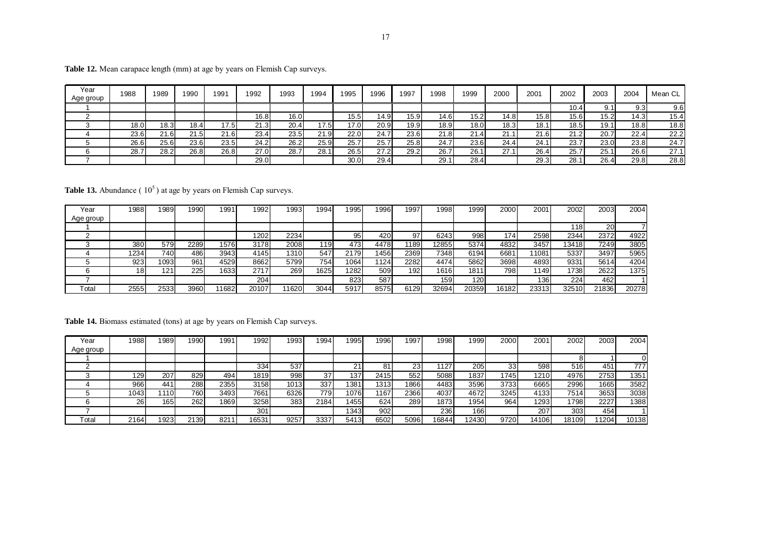| Year<br>Age group | 1988 | 1989 | 1990               | 1991 | 1992  | 1993              | 1994             | 1995 | 1996 | 1997 | 1998 | 1999 | 2000     | 2001             | 2002    | 2003 | 2004 | Mean CL |
|-------------------|------|------|--------------------|------|-------|-------------------|------------------|------|------|------|------|------|----------|------------------|---------|------|------|---------|
|                   |      |      |                    |      |       |                   |                  |      |      |      |      |      |          |                  | . 4. ل. |      | 9.3  | 9.6     |
|                   |      |      |                    |      | 16.81 | 16.0 <sub>1</sub> |                  | 15.5 | 14.9 | 15.9 | 14.6 | 15.2 | 14.8     | 15.8             | 15.6    | 5.2  | 14.3 | 15.4    |
|                   | 18.0 | 18.3 | 18.4 <sub>1</sub>  | 17.5 | 21.3  | 20.4              | 7.5 <sub>1</sub> | 17.0 | 20.9 | 19.9 | 18.9 | 18.0 | 18.3     | 18.              | 18.51   | 19.1 | 18.8 | 18.8    |
|                   | 23.6 | 21.6 | $^{\circ}$<br>21.5 | 21.6 | 23.4  | 23.5              | 1.91             | 22.0 | 24.7 | 23.6 | 21.8 | 21.4 | $\Omega$ | $\Omega$<br>21.F | 21.2    | 20.7 | 22.4 | 22.2    |
|                   | 26.6 | 25.6 | 23.6               | 23.5 | 24.2  | 26.2              | 25.9             | 25.7 | 25.7 | 25.8 | 24.7 | 23.6 | 24.4     | 24.              | 23.7    | 23.0 | 23.8 | 24.7    |
|                   | 28.7 | 28.2 | 26.8               | 26.8 | 27.0  | 28.7              | 28.1             | 26.5 | 27.2 | 29.2 | 26.7 | 26.1 |          | 26.4             | 25.     | 25.1 | 26.6 | 27.7    |
|                   |      |      |                    |      | 29.0  |                   |                  | 30.0 | 29.4 |      | 29.1 | 28.4 |          | 29.3             | 28.     | 26.4 | 29.8 | 28.8    |

Table 12. Mean carapace length (mm) at age by years on Flemish Cap surveys.

**Table 13.** Abundance  $(10^5)$  at age by years on Flemish Cap surveys.

| Year                        | 1988 | 1989 | 1990 | 1991. | 992   | 1993  | 1994 | 1995 | 1996 | 1997 | 1998  | 1999. | 2000  | 2001  | 2002  | 2003      | 2004  |
|-----------------------------|------|------|------|-------|-------|-------|------|------|------|------|-------|-------|-------|-------|-------|-----------|-------|
| Age group                   |      |      |      |       |       |       |      |      |      |      |       |       |       |       |       |           |       |
|                             |      |      |      |       |       |       |      |      |      |      |       |       |       |       | 118   | <b>20</b> |       |
|                             |      |      |      |       | 1202  | 2234  |      | 95   | 420  | 97   | 6243  | 998   | 174   | 2598  | 2344  | 2372      | 4922  |
|                             | 380  | 579  | 2289 | 1576  | 3178  | 2008  | 119  | 473  | 4478 | 1189 | 12855 | 5374  | 4832  | 3457  | 13418 | 7249      | 3805  |
|                             | 1234 | 740  | 486  | 3943  | 4145  | 1310  | 547  | 2179 | 456  | 2369 | 7348  | 6194  | 6681  | 1081  | 5337  | 3497      | 5965  |
|                             | 923  | 1093 | 961  | 4529  | 8662  | 5799  | 754  | 1064 | 1124 | 2282 | 4474  | 5862  | 3698  | 4893  | 9331  | 5614      | 4204  |
|                             |      | 121  | 225  | 1633  | 2717  | 269   | 1625 | 1282 | 509  | 192  | 1616  | 181   | 798   | 1149  | 1738  | 2622      | 1375  |
|                             |      |      |      |       | 204   |       |      | 823  | 587  |      | 159   | 120   |       | 136   | 224   | 462       |       |
| $\mathsf{r}_{\mathsf{ota}}$ | 2555 | 2533 | 3960 | 1682  | 20107 | 11620 | 3044 | 5917 | 8575 | 6129 | 32694 | 20359 | 16182 | 23313 | 32510 | 21836     | 20278 |

Table 14. Biomass estimated (tons) at age by years on Flemish Cap surveys.

| Year      | 988       | 1989 | 1990 | 1991 | 1992  | 1993 | 1994 | 1995  | 1996 | 1997 | 1998  | 1999 | 2000 | 2001  | 2002  | 2003            | 2004  |
|-----------|-----------|------|------|------|-------|------|------|-------|------|------|-------|------|------|-------|-------|-----------------|-------|
| Age group |           |      |      |      |       |      |      |       |      |      |       |      |      |       |       |                 |       |
|           |           |      |      |      |       |      |      |       |      |      |       |      |      |       |       |                 |       |
|           |           |      |      |      | 334   | 537  |      | 21    | o    | 23   | 110.7 | 205  | 33   | 598   | 516   | 45 <sup>4</sup> | 777   |
|           | 129       | 207  | 829  | 494  | 1819  | 998  | 37   | 137   | 2415 | 552  | 5088  | 1837 | 1745 | 1210  | 4976  | 2753            | 1351  |
|           | 966       | 441  | 288  | 2355 | 3158  | 1013 | 337  | 1381  | 1313 | 1866 | 4483  | 3596 | 3733 | 6665  | 2996  | 1665            | 3582  |
|           | 043       | 1110 | 7601 | 3493 | 7661  | 6326 | 779  | 1076  | 1167 | 2366 | 4037  | 4672 | 3245 | 4133  | 7514  | 3653            | 3038  |
|           | <b>26</b> | 165  | 262  | 1869 | 3258  | 383  | 2184 | 1455  | 624  | 289  | 1873  | 1954 | 964  | 1293  | 1798  | 2227            | 1388  |
|           |           |      |      |      | 301   |      |      | 13431 | 902  |      | 236   | 166  |      | 207   | 303   | 454             |       |
| Total     | 2164      | 1923 | 2139 | 821  | 16531 | 9257 | 3337 | 5413  | 6502 | 5096 | '6844 | 2430 | 9720 | 14106 | 18109 | 1204            | 10138 |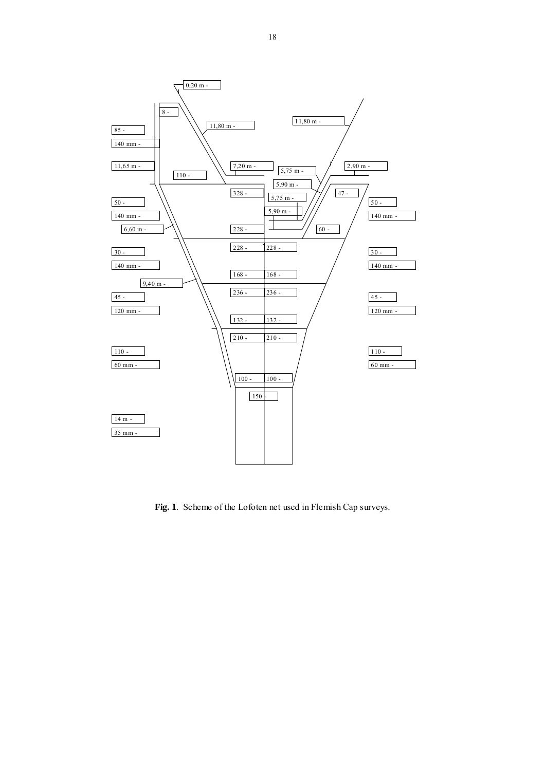

**Fig. 1**. Scheme of the Lofoten net used in Flemish Cap surveys.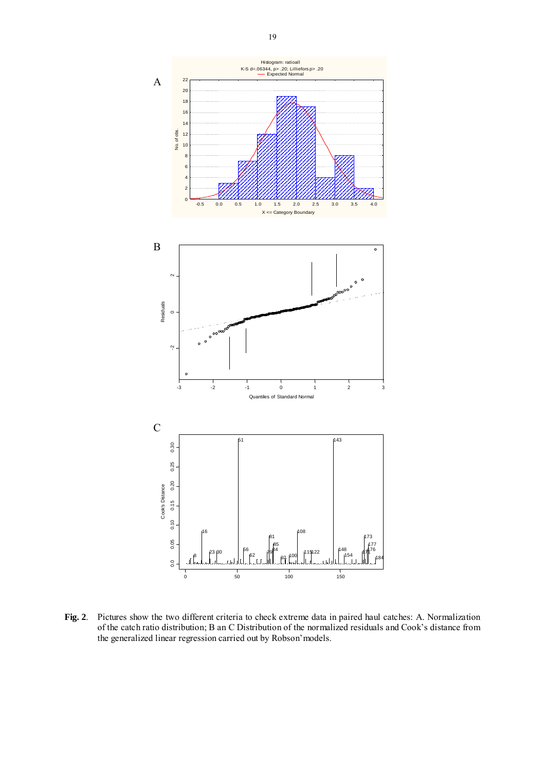

**Fig. 2**. Pictures show the two different criteria to check extreme data in paired haul catches: A. Normalization of the catch ratio distribution; B an C Distribution of the normalized residuals and Cook's distance from the generalized linear regression carried out by Robson'models.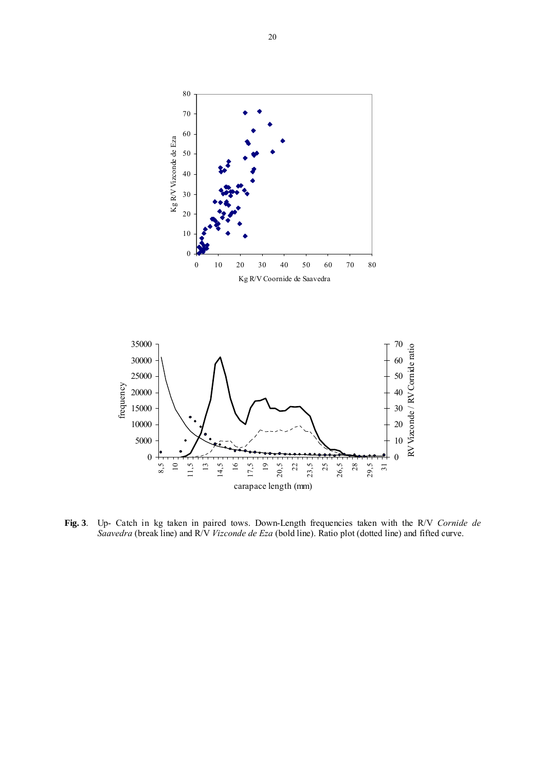



**Fig. 3**. Up- Catch in kg taken in paired tows. Down-Length frequencies taken with the R/V *Cornide de Saavedra* (break line) and R/V *Vizconde de Eza* (bold line). Ratio plot (dotted line) and fifted curve.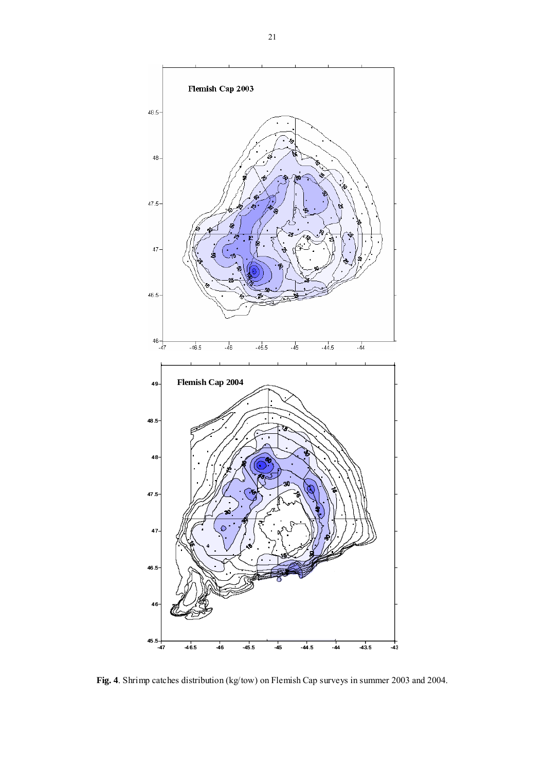

**Fig. 4**. Shrimp catches distribution (kg/tow) on Flemish Cap surveys in summer 2003 and 2004.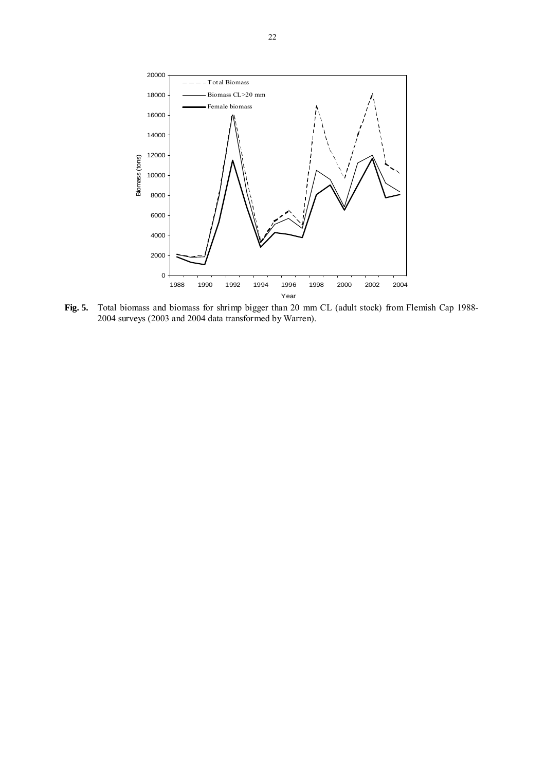

**Fig. 5.** Total biomass and biomass for shrimp bigger than 20 mm CL (adult stock) from Flemish Cap 1988- 2004 surveys (2003 and 2004 data transformed by Warren).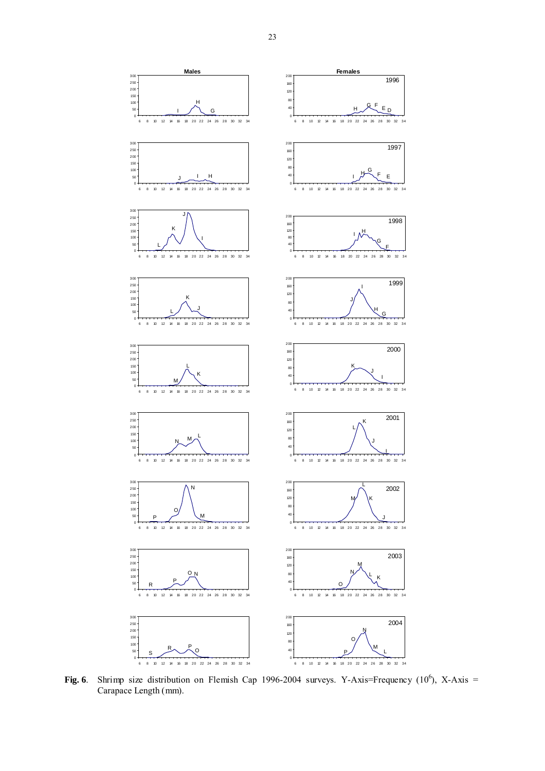

**Fig. 6**. Shrimp size distribution on Flemish Cap 1996-2004 surveys. Y-Axis=Frequency  $(10^6)$ , X-Axis = Carapace Length (mm).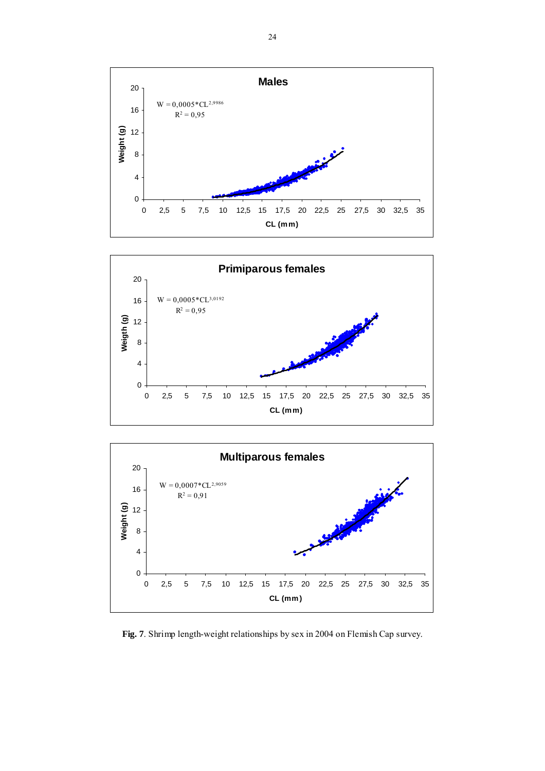





**Fig. 7**. Shrimp length-weight relationships by sex in 2004 on Flemish Cap survey.